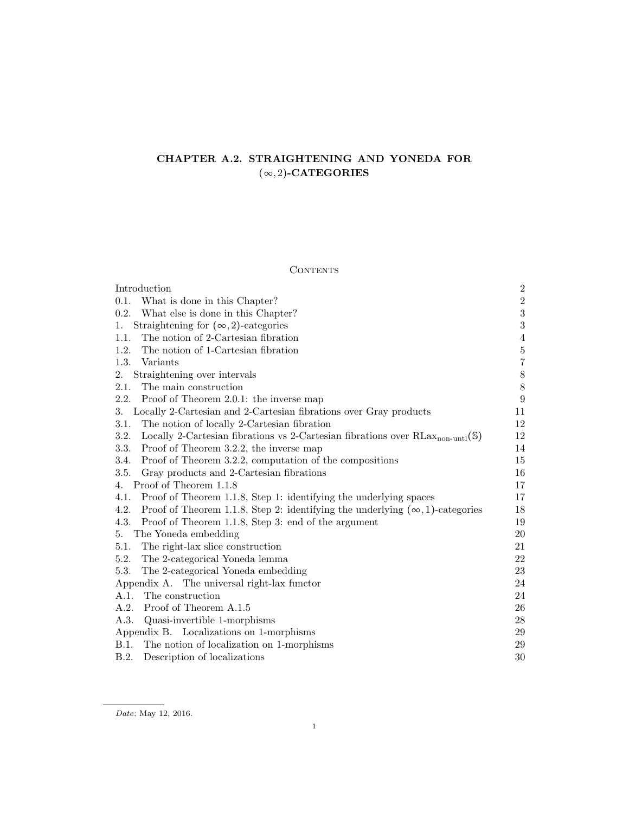# CHAPTER A.2. STRAIGHTENING AND YONEDA FOR  $(\infty, 2)$ -CATEGORIES

## $\mbox{CONTENTS}$

| Introduction                                                                                        | $\boldsymbol{2}$ |
|-----------------------------------------------------------------------------------------------------|------------------|
| What is done in this Chapter?<br>0.1.                                                               | $\sqrt{2}$       |
| 0.2.<br>What else is done in this Chapter?                                                          | $\sqrt{3}$       |
| Straightening for $(\infty, 2)$ -categories<br>1.                                                   | $\sqrt{3}$       |
| The notion of 2-Cartesian fibration<br>1.1.                                                         | $\overline{4}$   |
| 1.2.<br>The notion of 1-Cartesian fibration                                                         | $\bf 5$          |
| 1.3.<br>Variants                                                                                    | $\overline{7}$   |
| 2.<br>Straightening over intervals                                                                  | $\,$ $\,$        |
| The main construction<br>2.1.                                                                       | $\,$ $\,$        |
| 2.2.<br>Proof of Theorem 2.0.1: the inverse map                                                     | $\boldsymbol{9}$ |
| Locally 2-Cartesian and 2-Cartesian fibrations over Gray products<br>3.                             | 11               |
| The notion of locally 2-Cartesian fibration<br>3.1.                                                 | 12               |
| Locally 2-Cartesian fibrations vs 2-Cartesian fibrations over $RLax_{non-untl}(\mathbb{S})$<br>3.2. | 12               |
| Proof of Theorem 3.2.2, the inverse map<br>3.3.                                                     | 14               |
| Proof of Theorem 3.2.2, computation of the compositions<br>3.4.                                     | 15               |
| Gray products and 2-Cartesian fibrations<br>3.5.                                                    | 16               |
| Proof of Theorem 1.1.8<br>4.                                                                        | 17               |
| Proof of Theorem 1.1.8, Step 1: identifying the underlying spaces<br>4.1.                           | 17               |
| 4.2.<br>Proof of Theorem 1.1.8, Step 2: identifying the underlying $(\infty, 1)$ -categories        | 18               |
| 4.3.<br>Proof of Theorem 1.1.8, Step 3: end of the argument                                         | 19               |
| The Yoneda embedding<br>5.                                                                          | 20               |
| The right-lax slice construction<br>5.1.                                                            | 21               |
| 5.2.<br>The 2-categorical Yoneda lemma                                                              | 22               |
| 5.3.<br>The 2-categorical Yoneda embedding                                                          | $23\,$           |
| Appendix A. The universal right-lax functor                                                         | 24               |
| The construction<br>A.1.                                                                            | 24               |
| Proof of Theorem A.1.5<br>A.2.                                                                      | 26               |
| A.3.<br>Quasi-invertible 1-morphisms                                                                | 28               |
| Appendix B. Localizations on 1-morphisms                                                            | 29               |
| B.1.<br>The notion of localization on 1-morphisms                                                   | 29               |
| B.2.<br>Description of localizations                                                                | 30               |

Date: May 12, 2016.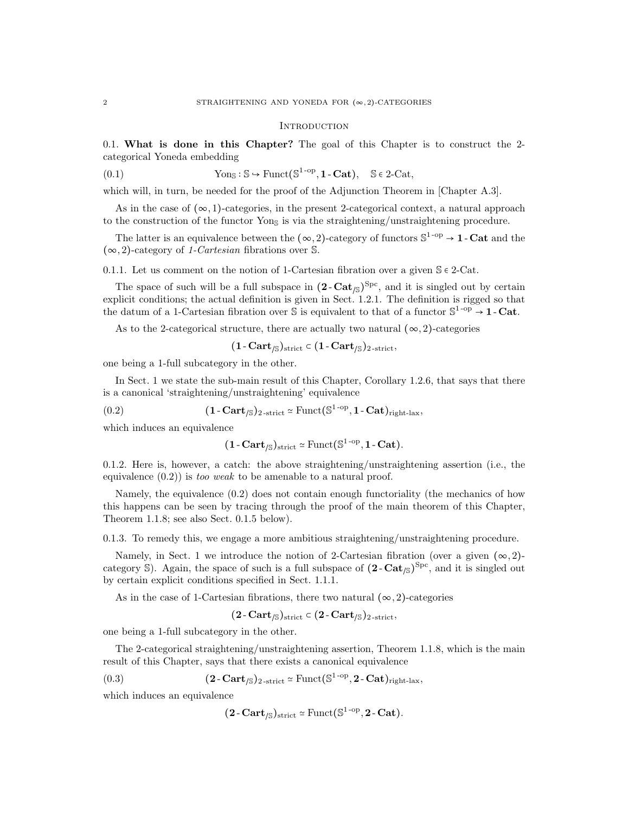#### **INTRODUCTION**

0.1. What is done in this Chapter? The goal of this Chapter is to construct the 2 categorical Yoneda embedding

(0.1) 
$$
Yon_S: S \hookrightarrow Funct(S^{1-op}, 1 - Cat), S \in 2-Cat,
$$

which will, in turn, be needed for the proof of the Adjunction Theorem in [Chapter A.3].

As in the case of  $(\infty, 1)$ -categories, in the present 2-categorical context, a natural approach to the construction of the functor  $\gamma$ on<sub>S</sub> is via the straightening/unstraightening procedure.

The latter is an equivalence between the  $(\infty, 2)$ -category of functors  $\mathbb{S}^{1-\text{op}} \to 1$ -Cat and the  $(\infty, 2)$ -category of 1-Cartesian fibrations over S.

0.1.1. Let us comment on the notion of 1-Cartesian fibration over a given  $\mathcal{S} \in 2$ -Cat.

The space of such will be a full subspace in  $(2 - \text{Cat}_{\beta})^{\text{Spc}}$ , and it is singled out by certain explicit conditions; the actual definition is given in Sect. 1.2.1. The definition is rigged so that the datum of a 1-Cartesian fibration over  $\mathbb S$  is equivalent to that of a functor  $\mathbb S^{1-\text{op}} \to 1$ -Cat.

As to the 2-categorical structure, there are actually two natural  $(\infty, 2)$ -categories

$$
(1\text{-}\mathbf{Cart}_{/\mathbb{S}})_{\mathrm{strict}} \subset (1\text{-}\mathbf{Cart}_{/\mathbb{S}})_{2\text{-strict}},
$$

one being a 1-full subcategory in the other.

In Sect. 1 we state the sub-main result of this Chapter, Corollary 1.2.6, that says that there is a canonical 'straightening/unstraightening' equivalence

(0.2) 
$$
(\mathbf{1}-\mathbf{Cart}_{\mathcal{J}\mathbb{S}})_{2\text{-strict}} \simeq \text{Funct}(\mathbb{S}^{1\text{-op}}, \mathbf{1}-\mathbf{Cat})_{\text{right-lax}},
$$

which induces an equivalence

$$
(1-Cart_{/\mathbb{S}})_{\operatorname{strict}} \simeq \operatorname{Funct}(\mathbb{S}^{1\operatorname{-op}}, 1\operatorname{-Cat}).
$$

0.1.2. Here is, however, a catch: the above straightening/unstraightening assertion (i.e., the equivalence  $(0.2)$  is too weak to be amenable to a natural proof.

Namely, the equivalence (0.2) does not contain enough functoriality (the mechanics of how this happens can be seen by tracing through the proof of the main theorem of this Chapter, Theorem 1.1.8; see also Sect. 0.1.5 below).

0.1.3. To remedy this, we engage a more ambitious straightening/unstraightening procedure.

Namely, in Sect. 1 we introduce the notion of 2-Cartesian fibration (over a given  $(\infty, 2)$ category S). Again, the space of such is a full subspace of  $(2 - \text{Cat}_{\beta})^{\text{Spc}}$ , and it is singled out by certain explicit conditions specified in Sect. 1.1.1.

As in the case of 1-Cartesian fibrations, there two natural  $(\infty, 2)$ -categories

$$
(2\text{-}\mathbf{Cart}_{/\mathbb{S}})_{\mathrm{strict}} \subset (2\text{-}\mathbf{Cart}_{/\mathbb{S}})_{2\text{-strict}},
$$

one being a 1-full subcategory in the other.

The 2-categorical straightening/unstraightening assertion, Theorem 1.1.8, which is the main result of this Chapter, says that there exists a canonical equivalence

(0.3) 
$$
(2 - \text{Cart}_{\text{/S}})_{2\text{-strict}} \simeq \text{Funct}(\mathbb{S}^{1\text{-op}}, 2 - \text{Cat})_{\text{right-lax}},
$$

which induces an equivalence

$$
(2\text{-}\mathbf{Cart}_{/\mathbb{S}})_{\mathrm{strict}} \simeq \mathrm{Funct}(\mathbb{S}^{1\text{-op}}, 2\text{-}\mathbf{Cat}).
$$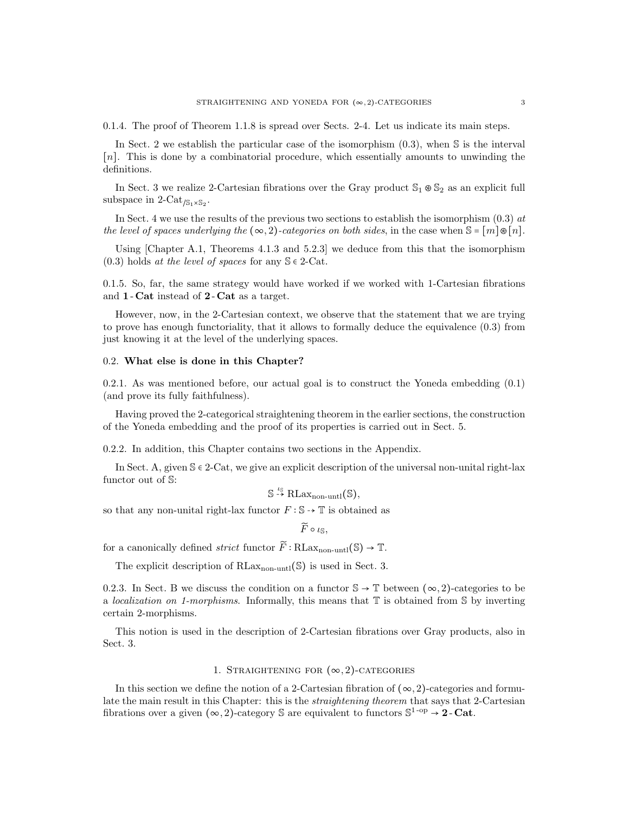0.1.4. The proof of Theorem 1.1.8 is spread over Sects. 2-4. Let us indicate its main steps.

In Sect. 2 we establish the particular case of the isomorphism  $(0.3)$ , when S is the interval [n]. This is done by a combinatorial procedure, which essentially amounts to unwinding the definitions.

In Sect. 3 we realize 2-Cartesian fibrations over the Gray product  $\mathbb{S}_1 \otimes \mathbb{S}_2$  as an explicit full subspace in 2-Cat<sub>/S<sub>1</sub>×S<sub>2</sub></sub>.

In Sect. 4 we use the results of the previous two sections to establish the isomorphism  $(0.3)$  at the level of spaces underlying the  $(\infty, 2)$ -categories on both sides, in the case when  $\mathbb{S} = [m] \otimes [n]$ .

Using [Chapter A.1, Theorems 4.1.3 and 5.2.3] we deduce from this that the isomorphism  $(0.3)$  holds at the level of spaces for any  $\mathcal{S} \in 2$ -Cat.

0.1.5. So, far, the same strategy would have worked if we worked with 1-Cartesian fibrations and 1 - Cat instead of 2 - Cat as a target.

However, now, in the 2-Cartesian context, we observe that the statement that we are trying to prove has enough functoriality, that it allows to formally deduce the equivalence (0.3) from just knowing it at the level of the underlying spaces.

## 0.2. What else is done in this Chapter?

0.2.1. As was mentioned before, our actual goal is to construct the Yoneda embedding (0.1) (and prove its fully faithfulness).

Having proved the 2-categorical straightening theorem in the earlier sections, the construction of the Yoneda embedding and the proof of its properties is carried out in Sect. 5.

0.2.2. In addition, this Chapter contains two sections in the Appendix.

In Sect. A, given  $\mathcal{S} \in 2$ -Cat, we give an explicit description of the universal non-unital right-lax functor out of S:

 $\mathbb{S} \stackrel{\iota_{\mathbb{S}}}{\rightarrow} \text{RLax}_{\text{non-untl}}(\mathbb{S}),$ 

so that any non-unital right-lax functor  $F : \mathbb{S} \rightarrow \mathbb{T}$  is obtained as

 $\widetilde{F} \circ \iota_{\mathbb{S}}$ 

for a canonically defined *strict* functor  $\widetilde{F}$  ∶ RLax<sub>non-untl</sub>(S)  $\rightarrow$  T.

The explicit description of  $RLax_{non-untl}(\mathbb{S})$  is used in Sect. 3.

0.2.3. In Sect. B we discuss the condition on a functor  $\mathbb{S} \to \mathbb{T}$  between  $(\infty, 2)$ -categories to be a *localization on 1-morphisms*. Informally, this means that  $\mathbb T$  is obtained from  $\mathbb S$  by inverting certain 2-morphisms.

This notion is used in the description of 2-Cartesian fibrations over Gray products, also in Sect. 3.

## 1. STRAIGHTENING FOR  $(\infty, 2)$ -CATEGORIES

In this section we define the notion of a 2-Cartesian fibration of  $(\infty, 2)$ -categories and formulate the main result in this Chapter: this is the *straightening theorem* that says that 2-Cartesian fibrations over a given  $(\infty, 2)$ -category S are equivalent to functors  $\mathbb{S}^{1-\text{op}} \to 2$ -Cat.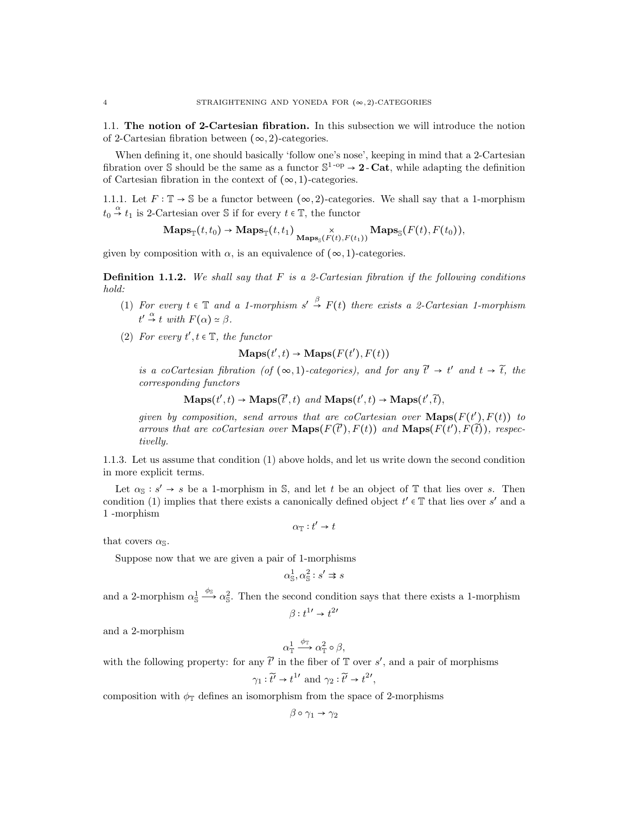1.1. The notion of 2-Cartesian fibration. In this subsection we will introduce the notion of 2-Cartesian fibration between  $(\infty, 2)$ -categories.

When defining it, one should basically 'follow one's nose', keeping in mind that a 2-Cartesian fibration over S should be the same as a functor  $\mathbb{S}^{1-op} \to 2$ -Cat, while adapting the definition of Cartesian fibration in the context of  $(\infty, 1)$ -categories.

1.1.1. Let  $F: \mathbb{T} \to \mathbb{S}$  be a functor between  $(\infty, 2)$ -categories. We shall say that a 1-morphism  $t_0 \stackrel{\alpha}{\rightarrow} t_1$  is 2-Cartesian over S if for every  $t \in \mathbb{T}$ , the functor

$$
\mathbf{Maps}_{\mathbb{T}}(t,t_0) \to \mathbf{Maps}_{\mathbb{T}}(t,t_1) \underset{\mathbf{Maps}_{\mathbb{S}}(F(t), F(t_1))}{\times} \mathbf{Maps}_{\mathbb{S}}(F(t), F(t_0)),
$$

given by composition with  $\alpha$ , is an equivalence of  $(\infty, 1)$ -categories.

**Definition 1.1.2.** We shall say that  $F$  is a 2-Cartesian fibration if the following conditions hold:

- (1) For every  $t \in \mathbb{T}$  and a 1-morphism  $s' \stackrel{\beta}{\to} F(t)$  there exists a 2-Cartesian 1-morphism  $t' \stackrel{\alpha}{\rightarrow} t$  with  $F(\alpha) \simeq \beta$ .
- (2) For every  $t', t \in \mathbb{T}$ , the functor

$$
\mathbf{Maps}(t', t) \rightarrow \mathbf{Maps}(F(t'), F(t))
$$

is a coCartesian fibration (of  $(\infty, 1)$ -categories), and for any  $\tilde{t}' \to t'$  and  $t \to \tilde{t}$ , the corresponding functors

 $\mathbf{Maps}(t', t) \to \mathbf{Maps}(\tilde{t}', t) \text{ and } \mathbf{Maps}(t', t) \to \mathbf{Maps}(t', \tilde{t}),$ 

given by composition, send arrows that are coCartesian over  $\mathbf{Maps}(F(t'), F(t))$  to arrows that are coCartesian over  $\text{Maps}(F(\tilde{t}'), F(t))$  and  $\text{Maps}(F(t'), F(\tilde{t}))$ , respectivelly.

1.1.3. Let us assume that condition (1) above holds, and let us write down the second condition in more explicit terms.

Let  $\alpha_{\mathbb{S}} : s' \to s$  be a 1-morphism in  $\mathbb{S}$ , and let t be an object of  $\mathbb{T}$  that lies over s. Then condition (1) implies that there exists a canonically defined object  $t' \in \mathbb{T}$  that lies over s' and a 1 -morphism

$$
\alpha_{\mathbb{T}}:t'\rightarrow t
$$

that covers  $\alpha_{\mathbb{S}}$ .

Suppose now that we are given a pair of 1-morphisms

$$
\alpha_{\mathbb{S}}^1, \alpha_{\mathbb{S}}^2 : s' \Rightarrow s
$$

and a 2-morphism  $\alpha_s^1 \xrightarrow{\phi_s} \alpha_s^2$ . Then the second condition says that there exists a 1-morphism  $\beta: t^{1} \rightarrow t^{2}$ 

and a 2-morphism

$$
\alpha_{\mathbb{T}}^1 \xrightarrow{\phi_{\mathbb{T}}} \alpha_{\mathbb{T}}^2 \circ \beta,
$$

with the following property: for any  $\tilde{t}$  in the fiber of  $\mathbb T$  over s', and a pair of morphisms ,

$$
\gamma_1 : \widetilde{t'} \to t^{1'} \text{ and } \gamma_2 : \widetilde{t'} \to t^{2'}
$$

composition with  $\phi_{\mathbb{T}}$  defines an isomorphism from the space of 2-morphisms

$$
\beta \circ \gamma_1 \to \gamma_2
$$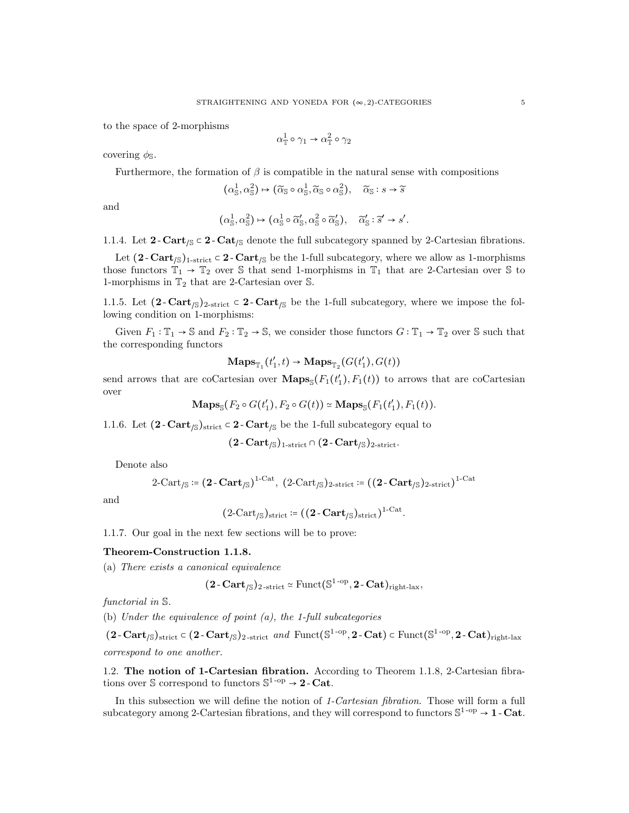to the space of 2-morphisms

$$
\alpha_{\mathbb{T}}^1 \circ \gamma_1 \to \alpha_{\mathbb{T}}^2 \circ \gamma_2
$$

covering  $\phi_{\mathbb{S}}$ .

Furthermore, the formation of  $\beta$  is compatible in the natural sense with compositions

$$
(\alpha_{\mathbb{S}}^1, \alpha_{\mathbb{S}}^2) \mapsto (\widetilde{\alpha}_{\mathbb{S}} \circ \alpha_{\mathbb{S}}^1, \widetilde{\alpha}_{\mathbb{S}} \circ \alpha_{\mathbb{S}}^2), \quad \widetilde{\alpha}_{\mathbb{S}} : s \to \widetilde{s}
$$

and

$$
(\alpha_{\mathbb{S}}^1, \alpha_{\mathbb{S}}^2) \mapsto (\alpha_{\mathbb{S}}^1 \circ \widetilde{\alpha}_{\mathbb{S}}', \alpha_{\mathbb{S}}^2 \circ \widetilde{\alpha}_{\mathbb{S}}'), \quad \widetilde{\alpha}_{\mathbb{S}}': \widetilde{s}' \to s'.
$$

1.1.4. Let  $2$ -Cart<sub>/S</sub>  $\subset 2$ -Cat<sub>/S</sub> denote the full subcategory spanned by 2-Cartesian fibrations.

Let  $(2 - \text{Cart}_{\sqrt{s}})_{1\text{-strict}} \subset 2 - \text{Cart}_{\sqrt{s}}$  be the 1-full subcategory, where we allow as 1-morphisms those functors  $\mathbb{T}_1 \to \mathbb{T}_2$  over S that send 1-morphisms in  $\mathbb{T}_1$  that are 2-Cartesian over S to 1-morphisms in  $\mathbb{T}_2$  that are 2-Cartesian over  $\mathbb{S}.$ 

1.1.5. Let  $(2$ -Cart<sub>/S</sub>)<sub>2-strict</sub>  $\subset 2$ -Cart<sub>/S</sub> be the 1-full subcategory, where we impose the following condition on 1-morphisms:

Given  $F_1 : \mathbb{T}_1 \to \mathbb{S}$  and  $F_2 : \mathbb{T}_2 \to \mathbb{S}$ , we consider those functors  $G : \mathbb{T}_1 \to \mathbb{T}_2$  over  $\mathbb{S}$  such that the corresponding functors

$$
\mathbf{Maps}_{\mathbb{T}_1}(t'_1, t) \to \mathbf{Maps}_{\mathbb{T}_2}(G(t'_1), G(t))
$$

send arrows that are coCartesian over  $\mathbf{Maps}_{\mathbb{S}}(F_1(t'_1), F_1(t))$  to arrows that are coCartesian over

$$
\mathbf{Maps}_{\mathbb{S}}(F_2 \circ G(t'_1), F_2 \circ G(t)) \simeq \mathbf{Maps}_{\mathbb{S}}(F_1(t'_1), F_1(t)).
$$

1.1.6. Let  $(2 - \text{Cart}_{\text{/s}})_{\text{strict}} \subset 2 - \text{Cart}_{\text{/s}}$  be the 1-full subcategory equal to

$$
(2\text{-}\mathop{\bf Cart}\nolimits_{/\mathbb S})_{\text{1-strict}}\cap (2\text{-}\mathop{\bf Cart}\nolimits_{/\mathbb S})_{\text{2-strict}}.
$$

Denote also

$$
2\text{-Cart}_{\text{/S}} \coloneqq (2\text{- Cart}_{\text{/S}})^{1\text{-Cat}}, \ (2\text{-Cart}_{\text{/S}})_{2\text{-strict}} \coloneqq ((2\text{- Cart}_{\text{/S}})_{2\text{-strict}})^{1\text{-Cat}}
$$

and

$$
(2\text{-Cart}_{/\mathbb{S}})_{\text{strict}} \coloneqq ((2\text{- Cart}_{/\mathbb{S}})_{\text{strict}})^{1\text{-Cat}}.
$$

1.1.7. Our goal in the next few sections will be to prove:

#### Theorem-Construction 1.1.8.

(a) There exists a canonical equivalence

$$
(2\text{-}\mathbf{Cart}_{/\mathbb{S}})_{2\text{-strict}} \simeq \mathrm{Funct}(\mathbb{S}^{1\text{-op}}, 2\text{-}\mathbf{Cat})_{\mathrm{right\text{-}lax}},
$$

functorial in S.

(b) Under the equivalence of point (a), the 1-full subcategories

 $(2-\text{Cart}_{\sqrt{S}})_{\text{strict}} \in (2-\text{Cart}_{\sqrt{S}})_{2\text{-strict}}$  and  $\text{Funct}(\mathbb{S}^{1-\text{op}}, 2-\text{Cat}) \in \text{Funct}(\mathbb{S}^{1-\text{op}}, 2-\text{Cat})_{\text{right-lax}}$ correspond to one another.

1.2. The notion of 1-Cartesian fibration. According to Theorem 1.1.8, 2-Cartesian fibrations over S correspond to functors  $\mathbb{S}^{1\text{-op}} \to 2\text{-}\mathbf{Cat}$ .

In this subsection we will define the notion of 1-Cartesian fibration. Those will form a full subcategory among 2-Cartesian fibrations, and they will correspond to functors  $\mathbb{S}^{1-\text{op}} \to 1$  - Cat.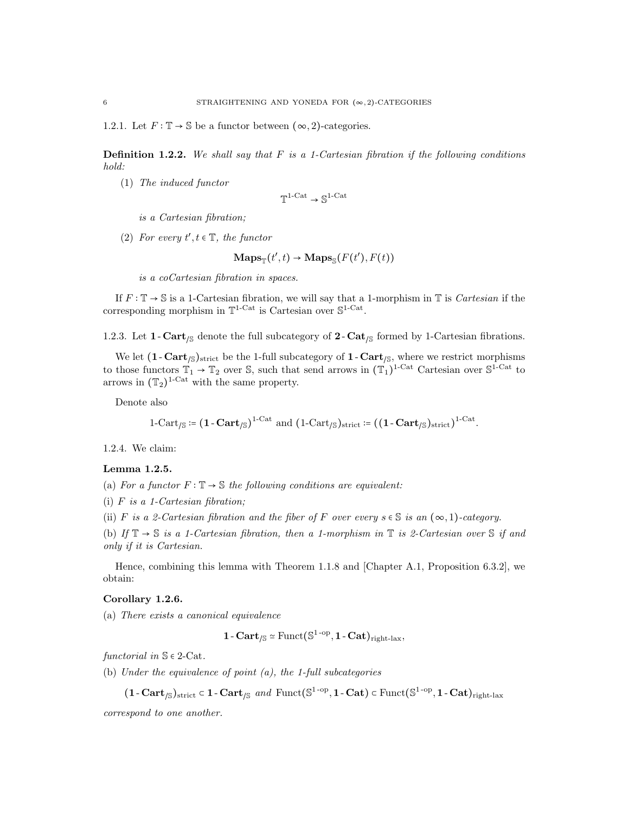1.2.1. Let  $F : \mathbb{T} \to \mathbb{S}$  be a functor between  $(\infty, 2)$ -categories.

**Definition 1.2.2.** We shall say that F is a 1-Cartesian fibration if the following conditions hold:

(1) The induced functor

$$
\mathbb{T}^{1\textrm{-}\mathrm{Cat}} \to \mathbb{S}^{1\textrm{-}\mathrm{Cat}}
$$

- is a Cartesian fibration;
- (2) For every  $t', t \in \mathbb{T}$ , the functor

$$
\mathbf{Maps}_{\mathbb{T}}(t',t) \to \mathbf{Maps}_{\mathbb{S}}(F(t'),F(t))
$$

is a coCartesian fibration in spaces.

If  $F: \mathbb{T} \to \mathbb{S}$  is a 1-Cartesian fibration, we will say that a 1-morphism in  $\mathbb{T}$  is *Cartesian* if the corresponding morphism in  $\mathbb{T}^{1-\text{Cat}}$  is Cartesian over  $\mathbb{S}^{1-\text{Cat}}$ .

1.2.3. Let 1 - Cart<sub>/S</sub> denote the full subcategory of 2 - Cat<sub>/S</sub> formed by 1-Cartesian fibrations.

We let  $(1 - \text{Cart}_{\beta})_{\text{strict}}$  be the 1-full subcategory of  $1 - \text{Cart}_{\beta}$ , where we restrict morphisms to those functors  $\mathbb{T}_1 \to \mathbb{T}_2$  over S, such that send arrows in  $(\mathbb{T}_1)^{1-\text{Cat}}$  Cartesian over  $\mathbb{S}^{1-\text{Cat}}$  to arrows in  $(\mathbb{T}_2)^{1-\text{Cat}}$  with the same property.

Denote also

$$
1-\mathrm{Cart}_{/\mathbb{S}} \coloneqq \big(1-\mathbf{Cart}_{/\mathbb{S}}\big)^{1-\mathrm{Cat}} \ \ \mathrm{and} \ \ \big(1-\mathrm{Cart}_{/\mathbb{S}}\big)_{\mathrm{strict}} \coloneqq \big(\big(1-\mathbf{Cart}_{/\mathbb{S}}\big)_{\mathrm{strict}}\big)^{1-\mathrm{Cat}}.
$$

1.2.4. We claim:

#### Lemma 1.2.5.

(a) For a functor  $F : \mathbb{T} \to \mathbb{S}$  the following conditions are equivalent:

(i)  $F$  is a 1-Cartesian fibration:

(ii) F is a 2-Cartesian fibration and the fiber of F over every  $s \in S$  is an  $(\infty, 1)$ -category.

(b) If  $\mathbb{T} \to \mathbb{S}$  is a 1-Cartesian fibration, then a 1-morphism in  $\mathbb{T}$  is 2-Cartesian over  $\mathbb{S}$  if and only if it is Cartesian.

Hence, combining this lemma with Theorem 1.1.8 and [Chapter A.1, Proposition 6.3.2], we obtain:

## Corollary 1.2.6.

(a) There exists a canonical equivalence

$$
1\text{-}\mathbf{Cart}_{/\mathbb{S}} \simeq \mathrm{Funct}(\mathbb{S}^{1\text{-}\mathrm{op}}, 1\text{-}\mathbf{Cat})_{\mathrm{right\text{-}lax}},
$$

functorial in  $\mathbb{S} \in 2$ -Cat.

- (b) Under the equivalence of point (a), the 1-full subcategories
	- $(1 \text{Cart}_{\sqrt{S}})_{\text{strict}} \in 1 \text{Cart}_{\sqrt{S}} \text{ and } \text{Funct}(\mathbb{S}^{1 \text{op}}, 1 \text{Cat}) \in \text{Funct}(\mathbb{S}^{1 \text{op}}, 1 \text{Cat})_{\text{right-lax}}$

correspond to one another.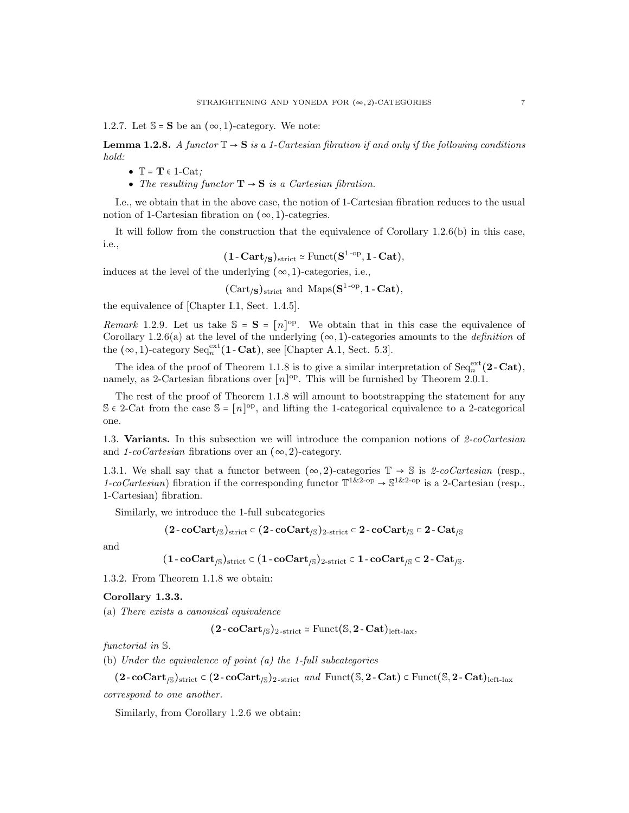1.2.7. Let  $\mathbb{S} = \mathbf{S}$  be an  $(\infty, 1)$ -category. We note:

**Lemma 1.2.8.** A functor  $\mathbb{T} \to \mathbf{S}$  is a 1-Cartesian fibration if and only if the following conditions hold:

- $\mathbb{T} = \mathbf{T} \in 1$ -Cat;
- The resulting functor  $\mathbf{T} \rightarrow \mathbf{S}$  is a Cartesian fibration.

I.e., we obtain that in the above case, the notion of 1-Cartesian fibration reduces to the usual notion of 1-Cartesian fibration on  $(\infty, 1)$ -categries.

It will follow from the construction that the equivalence of Corollary 1.2.6(b) in this case, i.e.,

$$
(1-Cart_{/S})_{\rm strict} \simeq \mathrm{Funct}(S^{1\text{-op}}, 1\text{-}\mathrm{Cat}),
$$

induces at the level of the underlying  $(\infty, 1)$ -categories, i.e.,

 $(\text{Cart}_{\mathcal{S}})_{\text{strict}}$  and  $\text{Maps}(S^{1-op}, 1-\text{Cat}),$ 

the equivalence of [Chapter I.1, Sect. 1.4.5].

Remark 1.2.9. Let us take  $S = S = [n]^{\text{op}}$ . We obtain that in this case the equivalence of Corollary 1.2.6(a) at the level of the underlying  $(\infty, 1)$ -categories amounts to the *definition* of the  $(\infty, 1)$ -category  $\text{Seq}_n^{\text{ext}}(1 - \text{Cat})$ , see [Chapter A.1, Sect. 5.3].

The idea of the proof of Theorem 1.1.8 is to give a similar interpretation of  $Seq_n^{\text{ext}}(2-\text{Cat}),$ namely, as 2-Cartesian fibrations over  $[n]^{op}$ . This will be furnished by Theorem 2.0.1.

The rest of the proof of Theorem 1.1.8 will amount to bootstrapping the statement for any S  $\epsilon$  2-Cat from the case S = [n]<sup>op</sup>, and lifting the 1-categorical equivalence to a 2-categorical one.

1.3. Variants. In this subsection we will introduce the companion notions of  $2$ -coCartesian and 1-coCartesian fibrations over an  $(\infty, 2)$ -category.

1.3.1. We shall say that a functor between  $(\infty, 2)$ -categories  $\mathbb{T} \to \mathbb{S}$  is 2-coCartesian (resp., 1-coCartesian) fibration if the corresponding functor  $\mathbb{T}^{1 \& 2\text{-}op} \to \mathbb{S}^{1 \& 2\text{-}op}$  is a 2-Cartesian (resp., 1-Cartesian) fibration.

Similarly, we introduce the 1-full subcategories

$$
(2\text{-}\operatorname{coCart}_{/\mathbb{S}})_{\operatorname{strict}} \subset (2\text{-}\operatorname{coCart}_{/\mathbb{S}})_{2\text{-strict}} \subset 2\text{-}\operatorname{coCart}_{/\mathbb{S}} \subset 2\text{-}\operatorname{Cat}_{/\mathbb{S}}
$$

and

$$
(1\cdot coCart_{/\mathbb S})_{\operatorname{strict}}\subset (1\cdot coCart_{/\mathbb S})_{2\text{-strict}}\subset 1\cdot coCart_{/\mathbb S}\subset 2\cdot Cat_{/\mathbb S}.
$$

1.3.2. From Theorem 1.1.8 we obtain:

## Corollary 1.3.3.

(a) There exists a canonical equivalence

 $(2\text{-}\mathbf{coCart}_{\mathcal{S}})_{2\text{-strict}} \simeq \text{Funct}(\mathbb{S}, 2\text{-}\mathbf{Cat})_{\text{left-lax}},$ 

functorial in S.

(b) Under the equivalence of point (a) the 1-full subcategories

 $(2\text{-}\text{coCart}_{\mathcal{S}})_{\text{strict}} \subset (2\text{-}\text{coCart}_{\mathcal{S}})_{2\text{-strict}}$  and Funct $(\mathbb{S}, 2\text{-}\text{Cat}) \subset \text{Funct}(\mathbb{S}, 2\text{-}\text{Cat})_{\text{left-law}}$ correspond to one another.

Similarly, from Corollary 1.2.6 we obtain: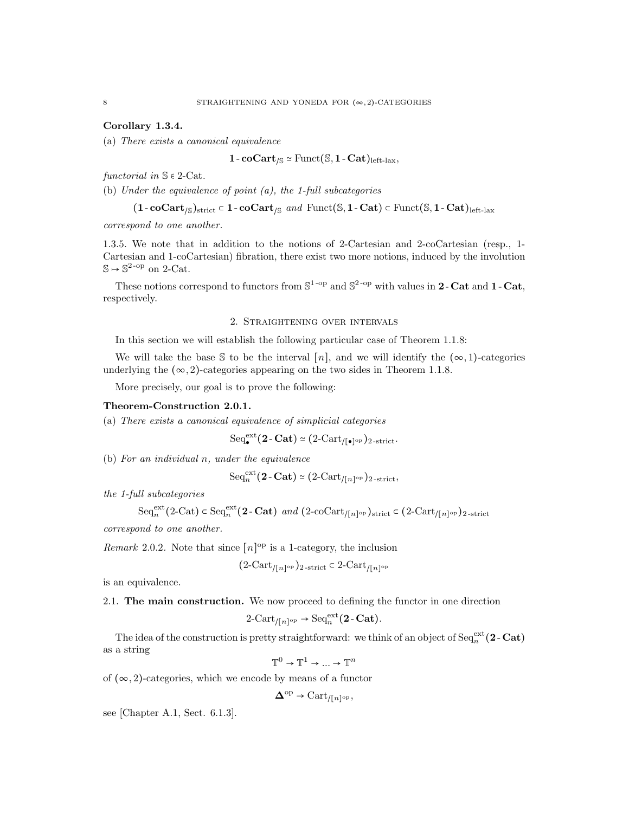## Corollary 1.3.4.

(a) There exists a canonical equivalence

$$
1\text{-}\mathbf{coCart}_{/\mathbb{S}}\simeq \mathrm{Funct}(\mathbb{S}, 1\text{-}\mathbf{Cat})_{\mathrm{left-lax}},
$$

functorial in  $\mathbb{S} \in 2$ -Cat.

(b) Under the equivalence of point  $(a)$ , the 1-full subcategories

 $(1$ -coCart<sub>/S</sub>)<sub>strict</sub> ⊂ 1 - coCart<sub>/S</sub> and Funct(S, 1 - Cat) ⊂ Funct(S, 1 - Cat)<sub>left-lax</sub>

correspond to one another.

1.3.5. We note that in addition to the notions of 2-Cartesian and 2-coCartesian (resp., 1- Cartesian and 1-coCartesian) fibration, there exist two more notions, induced by the involution  $\mathbb{S} \mapsto \mathbb{S}^{2\text{-op}}$  on 2-Cat.

These notions correspond to functors from  $\mathbb{S}^{1-\text{op}}$  and  $\mathbb{S}^{2-\text{op}}$  with values in 2-Cat and 1-Cat, respectively.

## 2. Straightening over intervals

In this section we will establish the following particular case of Theorem 1.1.8:

We will take the base S to be the interval [n], and we will identify the  $(\infty, 1)$ -categories underlying the  $(\infty, 2)$ -categories appearing on the two sides in Theorem 1.1.8.

More precisely, our goal is to prove the following:

## Theorem-Construction 2.0.1.

(a) There exists a canonical equivalence of simplicial categories

 $\text{Seq}_{\bullet}^{\text{ext}}(2\text{-}\text{Cat}) \simeq (2\text{-}\text{Cart}_{/[\bullet]^{\text{op}}})_{2\text{-strict}}.$ 

(b) For an individual n, under the equivalence

$$
\mathrm{Seq}_n^{\mathrm{ext}}(2\text{-}\mathbf{Cat}) \simeq (2\text{-}\mathrm{Cart}_{/[n]^{\mathrm{op}}})_{2\text{-strict}},
$$

the 1-full subcategories

$$
\mathrm{Seq}_n^{\mathrm{ext}}(2\text{-}\mathrm{Cat}) \subset \mathrm{Seq}_n^{\mathrm{ext}}(2\text{-}\mathrm{Cat}) \ \ \text{and} \ (2\text{-}\mathrm{coCart}_{/[n]^{\mathrm{op}}})_{\mathrm{strict}} \subset (2\text{-}\mathrm{Cart}_{/[n]^{\mathrm{op}}})_{2\text{-strict}}
$$

correspond to one another.

Remark 2.0.2. Note that since  $[n]^{op}$  is a 1-category, the inclusion

$$
(2-{\rm Cart}_{/[n]^{\rm op}})_{2\text{-strict}} \subset 2{\rm Cart}_{/[n]^{\rm op}}
$$

is an equivalence.

2.1. The main construction. We now proceed to defining the functor in one direction

$$
2\text{-}\mathrm{Cart}_{/[n]^{\mathrm{op}}} \to \mathrm{Seq}_n^{\mathrm{ext}}(2\text{-}\mathbf{Cat}).
$$

The idea of the construction is pretty straightforward: we think of an object of  $\text{Seq}_n^{\text{ext}}(2-\text{Cat})$ as a string

 $\mathbb{T}^0 \to \mathbb{T}^1 \to \dots \to \mathbb{T}^n$ 

of  $(\infty, 2)$ -categories, which we encode by means of a functor

$$
\mathbf{\Delta}^{\mathrm{op}} \to \mathrm{Cart}_{/[n]^{\mathrm{op}}},
$$

see [Chapter A.1, Sect. 6.1.3].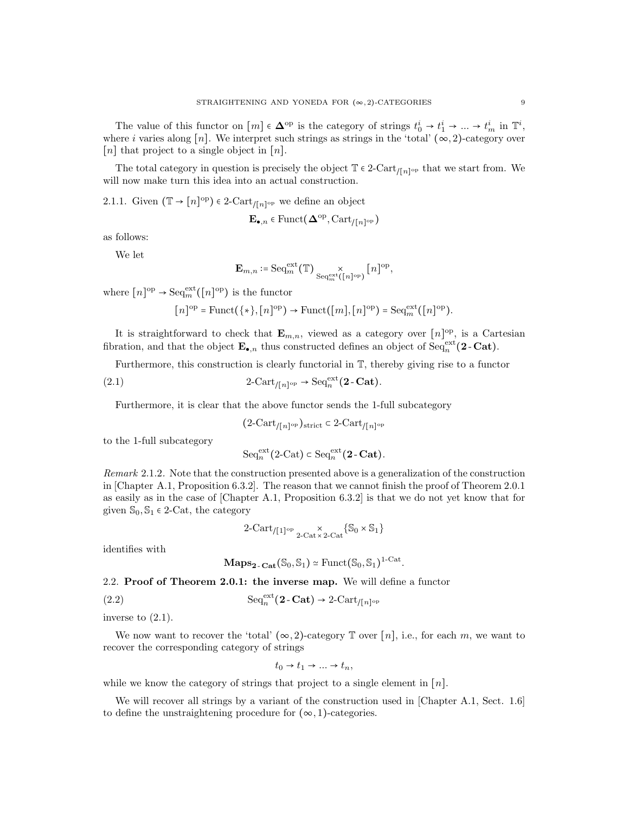The value of this functor on  $[m] \in \mathbf{\Delta}^{\text{op}}$  is the category of strings  $t_0^i \to t_1^i \to \dots \to t_m^i$  in  $\mathbb{T}^i$ , where i varies along [n]. We interpret such strings as strings in the 'total'  $(\infty, 2)$ -category over [n] that project to a single object in  $[n]$ .

The total category in question is precisely the object  $\mathbb{T} \in 2$ -Cart<sub>/[n]</sub><sup>op</sup> that we start from. We will now make turn this idea into an actual construction.

2.1.1. Given  $(\mathbb{T} \to [n]^{op}) \in 2$ -Cart<sub>/[n]<sup>op</sup> we define an object</sub>

$$
\mathbf{E}_{\bullet,n} \in \text{Funct}(\mathbf{\Delta}^{\text{op}}, \text{Cart}_{/[n]^{\text{op}}})
$$

as follows:

We let

$$
\mathbf{E}_{m,n} \coloneqq \mathrm{Seq}_m^{\mathrm{ext}}(\mathbb{T}) \underset{\mathrm{Seq}_m^{\mathrm{ext}}([n]^{\mathrm{op}})}{\times} [n]^{\mathrm{op}},
$$

where  $[n]^\text{op} \to \text{Seq}_m^{\text{ext}}([n]^\text{op})$  is the functor

$$
[n]^{\mathrm{op}} = \mathrm{Funct}(\{*\}, [n]^{\mathrm{op}}) \to \mathrm{Funct}([m], [n]^{\mathrm{op}}) = \mathrm{Seq}_m^{\mathrm{ext}}([n]^{\mathrm{op}}).
$$

It is straightforward to check that  $\mathbf{E}_{m,n}$ , viewed as a category over  $[n]$ <sup>op</sup>, is a Cartesian fibration, and that the object  $\mathbf{E}_{\bullet,n}$  thus constructed defines an object of  $\text{Seq}_n^{\text{ext}}(2-\text{Cat})$ .

Furthermore, this construction is clearly functorial in T, thereby giving rise to a functor

(2.1) 
$$
2\text{-Cart}_{/[n]^{\text{op}}} \to \text{Seq}_n^{\text{ext}}(2\text{-}\mathbf{Cat}).
$$

Furthermore, it is clear that the above functor sends the 1-full subcategory

$$
(2\text{-Cart}_{/[n]^{\text{op}}})_{\text{strict}} \subset 2\text{-Cart}_{/[n]^{\text{op}}}
$$

to the 1-full subcategory

$$
\mathrm{Seq}_n^{\mathrm{ext}}(2\text{-}\mathrm{Cat}) \subset \mathrm{Seq}_n^{\mathrm{ext}}(2\text{-}\mathrm{Cat}).
$$

Remark 2.1.2. Note that the construction presented above is a generalization of the construction in [Chapter A.1, Proposition 6.3.2]. The reason that we cannot finish the proof of Theorem 2.0.1 as easily as in the case of [Chapter A.1, Proposition 6.3.2] is that we do not yet know that for given  $\mathbb{S}_0$ ,  $\mathbb{S}_1 \in 2$ -Cat, the category

$$
2\text{-Cart}_{/[1]^{\text{op}}} \underset{2\text{-Cat}\times 2\text{-Cat}}{\times} \{ \mathbb{S}_0 \times \mathbb{S}_1 \}
$$

identifies with

$$
\mathbf{Maps}_{\mathbf{2}\text{-}\mathbf{Cat}}(\mathbb{S}_0, \mathbb{S}_1) \simeq \mathrm{Funct}(\mathbb{S}_0, \mathbb{S}_1)^{1\text{-}\mathrm{Cat}}.
$$

2.2. Proof of Theorem 2.0.1: the inverse map. We will define a functor

(2.2) 
$$
\mathrm{Seq}_n^{\mathrm{ext}}(\mathbf{2}\cdot\mathbf{Cat}) \to 2\text{-}\mathrm{Cart}_{/[n]^{\mathrm{op}}}
$$

inverse to (2.1).

We now want to recover the 'total'  $(\infty, 2)$ -category  $\mathbb T$  over  $[n]$ , i.e., for each m, we want to recover the corresponding category of strings

$$
t_0 \to t_1 \to \dots \to t_n,
$$

while we know the category of strings that project to a single element in  $[n]$ .

We will recover all strings by a variant of the construction used in [Chapter A.1, Sect. 1.6] to define the unstraightening procedure for  $(\infty, 1)$ -categories.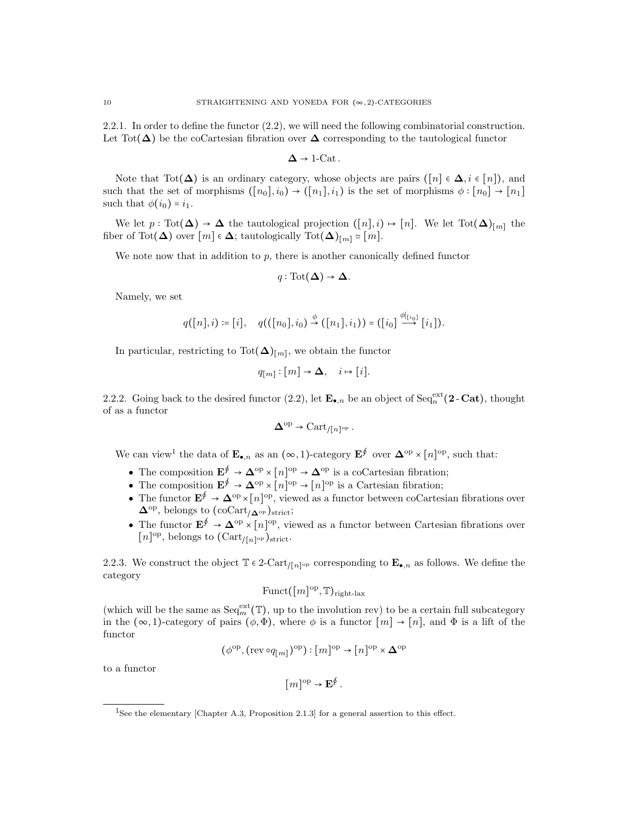2.2.1. In order to define the functor (2.2), we will need the following combinatorial construction. Let Tot( $\Delta$ ) be the coCartesian fibration over  $\Delta$  corresponding to the tautological functor

$$
\Delta \to 1\text{-Cat}.
$$

Note that Tot( $\Delta$ ) is an ordinary category, whose objects are pairs ( $[n] \in \Delta$ ,  $i \in [n]$ ), and such that the set of morphisms  $([n_0], i_0) \rightarrow ([n_1], i_1)$  is the set of morphisms  $\phi : [n_0] \rightarrow [n_1]$ such that  $\phi(i_0) = i_1$ .

We let  $p: \text{Tot}(\Delta) \to \Delta$  the tautological projection  $([n], i) \mapsto [n]$ . We let  $\text{Tot}(\Delta)_{[m]}$  the fiber of Tot( $\Delta$ ) over  $[m] \in \Delta$ ; tautologically Tot $(\Delta)_{[m]} \simeq [m]$ .

We note now that in addition to  $p$ , there is another canonically defined functor

$$
q: \text{Tot}(\Delta) \to \Delta.
$$

Namely, we set

$$
q([n],i)\coloneqq [i], \quad q(([n_0],i_0)\stackrel{\phi}{\rightarrow} ([n_1],i_1))=([i_0]\stackrel{\phi|_{[i_0]}}{\longrightarrow} [i_1]).
$$

In particular, restricting to  $\text{Tot}(\Delta)_{[m]}$ , we obtain the functor

$$
q_{[m]} : [m] \to \Delta, \quad i \mapsto [i].
$$

2.2.2. Going back to the desired functor (2.2), let  $\mathbf{E}_{\bullet,n}$  be an object of  $\text{Seq}_n^{\text{ext}}(2-\text{Cat})$ , thought of as a functor

$$
\mathbf{\Delta}^{\mathrm{op}} \to \mathrm{Cart}_{/[n]^{\mathrm{op}}}.
$$

We can view<sup>1</sup> the data of  $\mathbf{E}_{\bullet,n}$  as an  $(\infty,1)$ -category  $\mathbf{E}^{\oint}$  over  $\mathbf{\Delta}^{\text{op}} \times [n]^{\text{op}}$ , such that:

- The composition  $\mathbf{E}^{\oint} \to \mathbf{\Delta}^{\text{op}} \times [n]^{\text{op}} \to \mathbf{\Delta}^{\text{op}}$  is a coCartesian fibration;
- The composition  $\mathbf{E}^{\oint} \to \mathbf{\Delta}^{\mathrm{op}} \times [n]^{\mathrm{op}} \to [n]^{\mathrm{op}}$  is a Cartesian fibration;
- The functor  $\mathbf{E}^{\oint} \to \mathbf{\Delta}^{\text{op}} \times [n]^{\text{op}}$ , viewed as a functor between coCartesian fibrations over  $\Delta^{\text{op}}$ , belongs to (coCart<sub>/ $\Delta^{\text{op}}$ )strict;</sub>
- The functor  $\mathbf{E}^{\oint} \to \mathbf{\Delta}^{\text{op}} \times [n]^{\text{op}}$ , viewed as a functor between Cartesian fibrations over  $[n]^\text{op}$ , belongs to  $(\text{Cart}_{/[n]^\text{op}})_{\text{strict}}$ .

2.2.3. We construct the object  $\mathbb{T} \in 2$ -Cart<sub>/[n]<sup>op</sup> corresponding to  $\mathbf{E}_{\bullet,n}$  as follows. We define the</sub> category

$$
\mathrm{Funct}(\lbrack m \rbrack^{\mathrm{op}}, \mathbb{T})_{\mathrm{right\text{-}lax}}
$$

(which will be the same as  $\text{Seq}_{m}^{\text{ext}}(\mathbb{T})$ , up to the involution rev) to be a certain full subcategory in the  $(\infty, 1)$ -category of pairs  $(\phi, \Phi)$ , where  $\phi$  is a functor  $[m] \to [n]$ , and  $\Phi$  is a lift of the functor

$$
(\phi^{\mathrm{op}}, (\mathrm{rev} \circ q_{[m]})^{\mathrm{op}}) : [m]^{\mathrm{op}} \to [n]^{\mathrm{op}} \times \Delta^{\mathrm{op}}
$$

to a functor

$$
[m]^{\text{op}} \to \mathbf{E}^{\oint}.
$$

<sup>1</sup>See the elementary [Chapter A.3, Proposition 2.1.3] for a general assertion to this effect.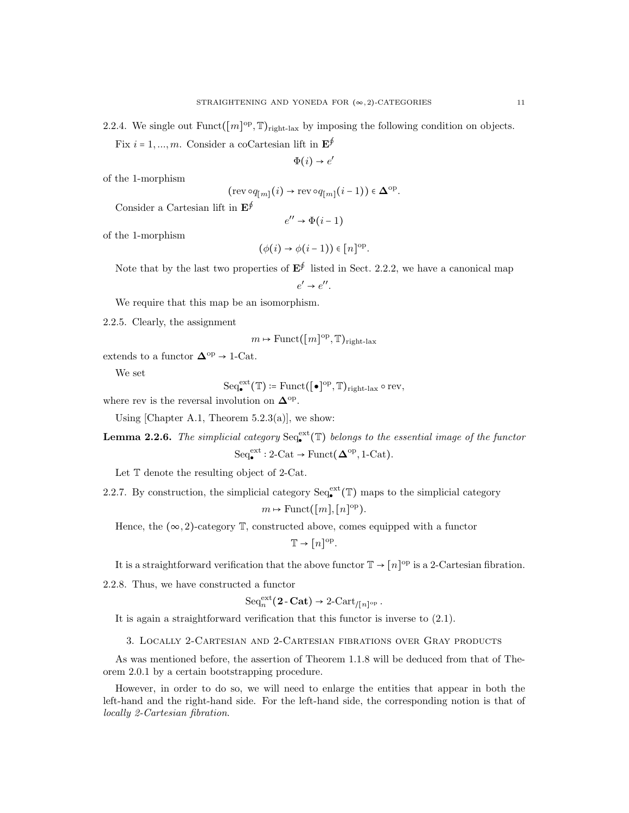2.2.4. We single out  $\text{Funct}([m]^\text{op}, \mathbb{T})_{\text{right-lax}}$  by imposing the following condition on objects. Fix  $i = 1, ..., m$ . Consider a coCartesian lift in  $\mathbf{E}^{\oint}$ 

$$
\Phi(i) \to e'
$$

of the 1-morphism

$$
(\text{rev}\circ q_{[m]}(i) \to \text{rev}\circ q_{[m]}(i-1)) \in \mathbf{\Delta}^{\text{op}}
$$

.

Consider a Cartesian lift in  $\mathbf{E}^{\oint}$ 

$$
e'' \to \Phi(i-1)
$$

of the 1-morphism

$$
(\phi(i) \to \phi(i-1)) \in [n]^{\text{op}}.
$$

Note that by the last two properties of  $E^{\oint}$  listed in Sect. 2.2.2, we have a canonical map  $e' \rightarrow e''$ .

We require that this map be an isomorphism.

2.2.5. Clearly, the assignment

$$
m \mapsto
$$
 Funct( $[m]^{\text{op}}, \mathbb{T})_{\text{right-lax}}$ 

extends to a functor  $\mathbf{\Delta}^{\mathrm{op}} \to 1\text{-}\mathrm{Cat}.$ 

We set

$$
\mathrm{Seq}_\bullet^\mathrm{ext}(\mathbb{T})\coloneqq \mathrm{Funct}([\bullet]^\mathrm{op},\mathbb{T})_{\mathrm{right\text{-}lax}}\circ\mathrm{rev},
$$

where rev is the reversal involution on  $\Delta^{\text{op}}$ .

Using [Chapter A.1, Theorem  $5.2.3(a)$ ], we show:

**Lemma 2.2.6.** The simplicial category  $\text{Seq}_{\bullet}^{\text{ext}}(\mathbb{T})$  belongs to the essential image of the functor  $Seq_{\bullet}^{\text{ext}}: 2\text{-Cat} \to \text{Funct}(\mathbf{\Delta}^{\text{op}}, 1\text{-Cat}).$ 

Let T denote the resulting object of 2-Cat.

2.2.7. By construction, the simplicial category  $\text{Seq}_{\bullet}^{\text{ext}}(\mathbb{T})$  maps to the simplicial category

$$
m \mapsto
$$
 Funct( $\lceil m \rceil, \lceil n \rceil$ <sup>op</sup>).

Hence, the  $(\infty, 2)$ -category  $\mathbb{T}$ , constructed above, comes equipped with a functor

 $\mathbb{T} \to [n]^{\text{op}}.$ 

It is a straightforward verification that the above functor  $\mathbb{T} \to [n]^{\text{op}}$  is a 2-Cartesian fibration.

2.2.8. Thus, we have constructed a functor

$$
\mathrm{Seq}_n^{\mathrm{ext}}(\mathbf{2}\text{-}\mathbf{Cat}) \to 2\text{-}\mathrm{Cart}_{/[n]^{\mathrm{op}}}.
$$

It is again a straightforward verification that this functor is inverse to (2.1).

3. Locally 2-Cartesian and 2-Cartesian fibrations over Gray products

As was mentioned before, the assertion of Theorem 1.1.8 will be deduced from that of Theorem 2.0.1 by a certain bootstrapping procedure.

However, in order to do so, we will need to enlarge the entities that appear in both the left-hand and the right-hand side. For the left-hand side, the corresponding notion is that of locally 2-Cartesian fibration.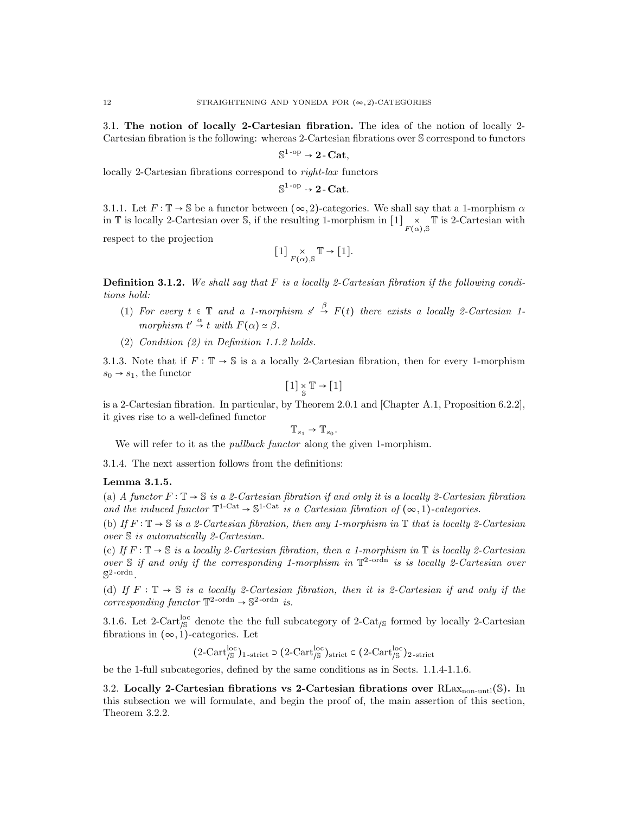3.1. The notion of locally 2-Cartesian fibration. The idea of the notion of locally 2- Cartesian fibration is the following: whereas 2-Cartesian fibrations over S correspond to functors

$$
\mathbb{S}^{1\text{-op}} \to 2\text{-}\mathrm{Cat},
$$

locally 2-Cartesian fibrations correspond to right-lax functors

$$
\mathbb{S}^{1\text{-op}} \rightarrow 2\text{-}\mathbf{Cat}.
$$

3.1.1. Let  $F: \mathbb{T} \to \mathbb{S}$  be a functor between  $(\infty, 2)$ -categories. We shall say that a 1-morphism  $\alpha$ in  $\mathbb T$  is locally 2-Cartesian over S, if the resulting 1-morphism in  $[1] \underset{F(\alpha), \mathbb S}{\times} \mathbb T$  is 2-Cartesian with

respect to the projection

$$
[1] \underset{F(\alpha), \mathbb{S}}{\times} \mathbb{T} \to [1].
$$

**Definition 3.1.2.** We shall say that F is a locally 2-Cartesian fibration if the following conditions hold:

- (1) For every  $t \in \mathbb{T}$  and a 1-morphism  $s' \stackrel{\beta}{\to} F(t)$  there exists a locally 2-Cartesian 1morphism  $t' \stackrel{\alpha}{\rightarrow} t$  with  $F(\alpha) \simeq \beta$ .
- (2) Condition (2) in Definition 1.1.2 holds.

3.1.3. Note that if  $F : \mathbb{T} \to \mathbb{S}$  is a a locally 2-Cartesian fibration, then for every 1-morphism  $s_0 \rightarrow s_1$ , the functor

$$
[1] \underset{\mathbb{S}}{\times} \mathbb{T} \to [1]
$$

is a 2-Cartesian fibration. In particular, by Theorem 2.0.1 and [Chapter A.1, Proposition 6.2.2], it gives rise to a well-defined functor

$$
\mathbb{T}_{s_1}\to \mathbb{T}_{s_0}.
$$

We will refer to it as the *pullback functor* along the given 1-morphism.

3.1.4. The next assertion follows from the definitions:

## Lemma 3.1.5.

(a) A functor  $F: \mathbb{T} \to \mathbb{S}$  is a 2-Cartesian fibration if and only it is a locally 2-Cartesian fibration and the induced functor  $\mathbb{T}^{1-\text{Cat}} \to \mathbb{S}^{1-\text{Cat}}$  is a Cartesian fibration of  $(\infty, 1)$ -categories.

(b) If  $F : \mathbb{T} \to \mathbb{S}$  is a 2-Cartesian fibration, then any 1-morphism in  $\mathbb{T}$  that is locally 2-Cartesian over S is automatically 2-Cartesian.

(c) If  $F : \mathbb{T} \to \mathbb{S}$  is a locally 2-Cartesian fibration, then a 1-morphism in  $\mathbb{T}$  is locally 2-Cartesian over  $S$  if and only if the corresponding 1-morphism in  $\mathbb{T}^2$ -ordn is is locally 2-Cartesian over  $\mathbb{S}^{2\text{-ordn}}$ .

(d) If  $F : \mathbb{T} \to \mathbb{S}$  is a locally 2-Cartesian fibration, then it is 2-Cartesian if and only if the corresponding functor  $\mathbb{T}^2$ -ordn  $\rightarrow$   $\mathbb{S}^2$ -ordn *is*.

3.1.6. Let 2-Cart<sup>1</sup>/<sub>S</sub> denote the the full subcategory of 2-Cat<sub>/S</sub> formed by locally 2-Cartesian fibrations in  $(\infty, 1)$ -categories. Let

$$
(2-{\rm Cart}_{/S}^{\rm loc})_{1\text{-strict}}\supset (2-{\rm Cart}_{/S}^{\rm loc})_{\rm strict}\subset (2-{\rm Cart}_{/S}^{\rm loc})_{2\text{-strict}}
$$

be the 1-full subcategories, defined by the same conditions as in Sects. 1.1.4-1.1.6.

3.2. Locally 2-Cartesian fibrations vs 2-Cartesian fibrations over  $RLax_{non-untl}(\mathbb{S})$ . In this subsection we will formulate, and begin the proof of, the main assertion of this section, Theorem 3.2.2.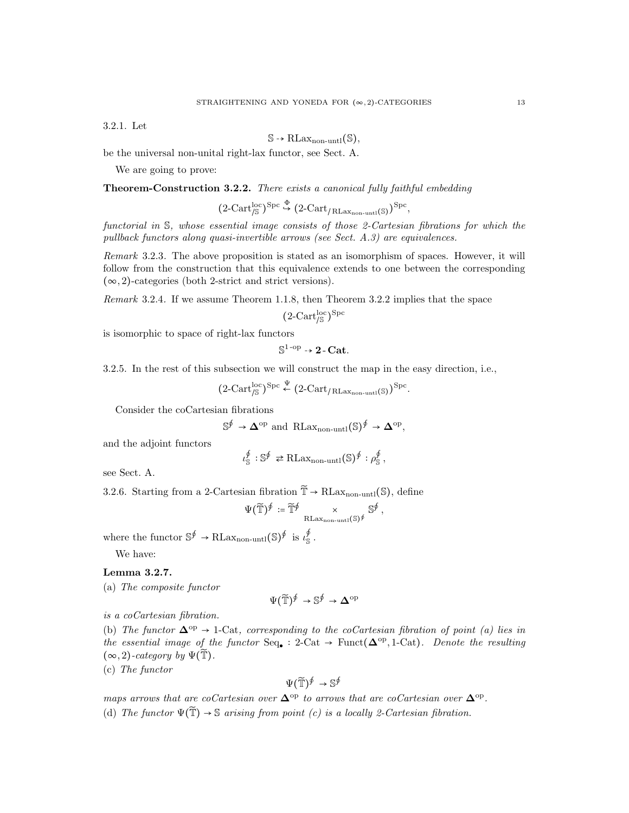3.2.1. Let

$$
\mathbb{S} \rightarrow \text{RLax}_{\text{non-untl}}(\mathbb{S}),
$$

be the universal non-unital right-lax functor, see Sect. A.

We are going to prove:

Theorem-Construction 3.2.2. There exists a canonical fully faithful embedding

$$
(2\text{-Cart}_{/\mathbb{S}}^{\mathrm{loc}})^{\mathrm{Spc}} \stackrel{\Phi}{\hookrightarrow} (2\text{-Cart}_{/\operatorname{RLax}_{\mathrm{non-untl}}(\mathbb{S})})^{\mathrm{Spc}},
$$

functorial in S, whose essential image consists of those 2-Cartesian fibrations for which the pullback functors along quasi-invertible arrows (see Sect. A.3) are equivalences.

Remark 3.2.3. The above proposition is stated as an isomorphism of spaces. However, it will follow from the construction that this equivalence extends to one between the corresponding  $(\infty, 2)$ -categories (both 2-strict and strict versions).

Remark 3.2.4. If we assume Theorem 1.1.8, then Theorem 3.2.2 implies that the space

$$
(2-Cart_{\/S}^{\rm loc})^{\rm Spc}
$$

is isomorphic to space of right-lax functors

$$
\mathbb{S}^{1\text{-op}} \to \mathbf{2\text{-}Cat}.
$$

3.2.5. In the rest of this subsection we will construct the map in the easy direction, i.e.,

$$
(2\text{-Cart}_{/\mathbb{S}}^{\text{loc}})^{\text{Spc}} \stackrel{\Psi}{\leftarrow} (2\text{-Cart}_{/\text{RLax}_{\text{non-unit}}(\mathbb{S})})^{\text{Spc}}.
$$

Consider the coCartesian fibrations

$$
\mathbb{S}^{\oint} \to \Delta^{\text{op}}
$$
 and  $\text{RLax}_{\text{non-unit}}(\mathbb{S})^{\oint} \to \Delta^{\text{op}},$ 

and the adjoint functors

$$
\iota_{\mathbb{S}}^{\oint} : \mathbb{S}^{\oint} \rightleftarrows \text{RLax}_{\text{non-unit}}(\mathbb{S})^{\oint} : \rho_{\mathbb{S}}^{\oint},
$$

see Sect. A.

3.2.6. Starting from a 2-Cartesian fibration  $\widetilde{T} \to R\text{Lax}_{\text{non-unt}}(\mathbb{S})$ , define

$$
\Psi(\widetilde{\mathbb{T}})^{\oint} \coloneqq \widetilde{\mathbb{T}}^{\oint} \underset{\mathrm{RLax}_{\mathrm{non-unti}}(\mathbb{S})^{\oint}} \mathbb{S}^{\oint},
$$

where the functor  $\mathbb{S}^{\oint} \to \text{RLax}_{\text{non-unit}}(\mathbb{S})^{\oint}$  is  $\iota_{\mathbb{S}}^{\oint}$ .

We have:

## Lemma 3.2.7.

(a) The composite functor

$$
\Psi(\widetilde{\mathbb{T}})^{\oint} \to \mathbb{S}^{\oint} \to \Delta^{\mathrm{op}}
$$

is a coCartesian fibration.

(b) The functor  $\Delta^{op} \rightarrow 1$ -Cat, corresponding to the coCartesian fibration of point (a) lies in the essential image of the functor  $Seq_{\bullet}: 2\text{-Cat} \to \text{Funct}(\mathbf{\Delta}^{\text{op}}, 1\text{-Cat})$ . Denote the resulting  $(\infty, 2)$ -category by  $\Psi(\tilde{\mathbb{T}})$ .

(c) The functor

$$
\Psi(\widetilde{\mathbb{T}})^{\oint} \to \mathbb{S}^{\oint}
$$

maps arrows that are coCartesian over  $\Delta^{\rm op}$  to arrows that are coCartesian over  $\Delta^{\rm op}$ . (d) The functor  $\Psi(\tilde{T}) \rightarrow \mathbb{S}$  arising from point (c) is a locally 2-Cartesian fibration.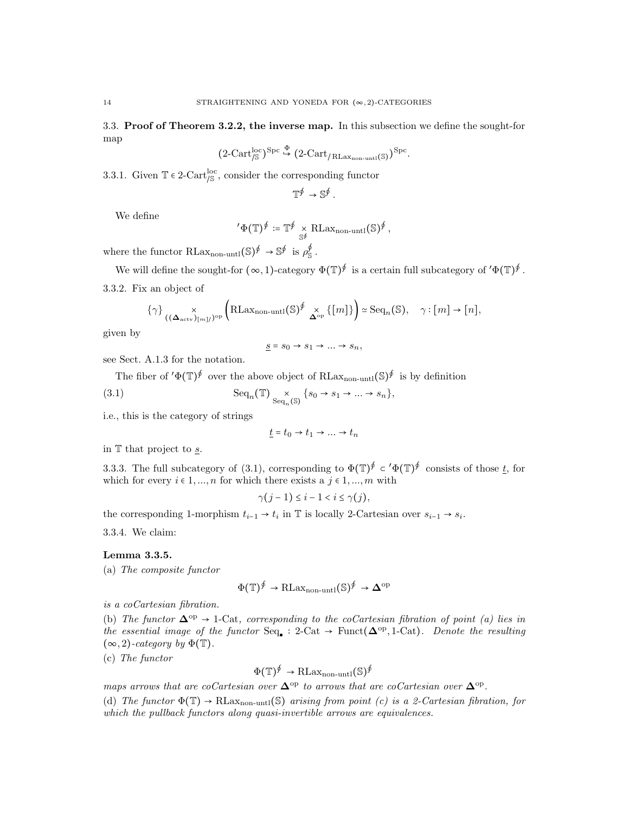3.3. Proof of Theorem 3.2.2, the inverse map. In this subsection we define the sought-for map

$$
(2\text{-Cart}_{/\mathbb{S}}^{\text{loc}})^{\text{Spc}}\overset{\Phi}{\hookrightarrow} (2\text{-Cart}_{/\operatorname{RLax}_{\text{non-unit}}(\mathbb{S})})^{\text{Spc}}.
$$

3.3.1. Given  $\mathbb{T} \in 2$ -Cart<sup>loc</sup>, consider the corresponding functor

$$
\mathbb{T}^{\oint} \to \mathbb{S}^{\oint}.
$$

We define

$$
{}'\Phi(\mathbb{T})^{\oint} := \mathbb{T}^{\oint} \underset{\mathbb{S}^{\oint}} \mathrm{RLax}_{\mathrm{non-untl}}(\mathbb{S})^{\oint},
$$

where the functor  $\text{RLax}_{\text{non-untl}}(\mathbb{S})^{\oint} \to \mathbb{S}^{\oint}$  is  $\rho_{\mathbb{S}}^{\oint}$ .

We will define the sought-for  $(\infty, 1)$ -category  $\Phi(\mathbb{T})^{\oint}$  is a certain full subcategory of  $'\Phi(\mathbb{T})^{\oint}$ .

3.3.2. Fix an object of

$$
\{\gamma\}_{(\mathbf{(\Delta_{\text{actv}})_{[m]}/{})^{\text{op}}}} \left(\text{RLax}_{\text{non-unit}}(\mathbb{S})^{\oint} \underset{\mathbf{\Delta}^{\text{op}}}{\times} \{[m]\}\right) \simeq \text{Seq}_n(\mathbb{S}), \quad \gamma : [m] \to [n],
$$

given by

$$
\underline{s} = s_0 \to s_1 \to \dots \to s_n,
$$

see Sect. A.1.3 for the notation.

The fiber of  $'\Phi(\mathbb{T})^{\oint}$  over the above object of RLax<sub>non-untl</sub> $(\mathbb{S})^{\oint}$  is by definition

(3.1) 
$$
\mathrm{Seq}_n(\mathbb{T}) \underset{\mathrm{Seq}_n(\mathbb{S})}{\times} \{s_0 \to s_1 \to \dots \to s_n\},
$$

i.e., this is the category of strings

$$
\underline{t} = t_0 \to t_1 \to \dots \to t_n
$$

in  $\mathbb T$  that project to <u>s</u>.

3.3.3. The full subcategory of (3.1), corresponding to  $\Phi(\mathbb{T})^{\oint} \subset \Phi(\mathbb{T})^{\oint}$  consists of those t, for which for every  $i \in 1, ..., n$  for which there exists a  $j \in 1, ..., m$  with

$$
\gamma(j-1) \leq i-1 < i \leq \gamma(j),
$$

the corresponding 1-morphism  $t_{i-1} \to t_i$  in  $\mathbb T$  is locally 2-Cartesian over  $s_{i-1} \to s_i$ .

3.3.4. We claim:

#### Lemma 3.3.5.

(a) The composite functor

$$
\Phi(\mathbb{T})^{\oint} \to \text{RLax}_{\text{non-unit}}(\mathbb{S})^{\oint} \to \mathbf{\Delta}^{\text{op}}
$$

is a coCartesian fibration.

(b) The functor  $\Delta^{op} \rightarrow 1$ -Cat, corresponding to the coCartesian fibration of point (a) lies in the essential image of the functor  $Seq_{\bullet}: 2$ -Cat  $\rightarrow$  Funct( $\Delta^{op}, 1$ -Cat). Denote the resulting  $(\infty, 2)$ -category by  $\Phi(\mathbb{T})$ .

(c) The functor

$$
\Phi(\mathbb{T})^{\oint} \to \text{RLax}_{\text{non-unit}}(\mathbb{S})^{\oint}
$$

maps arrows that are coCartesian over  $\Delta^{\text{op}}$  to arrows that are coCartesian over  $\Delta^{\text{op}}$ .

(d) The functor  $\Phi(\mathbb{T}) \to \text{RLax}_{\text{non-unit}}(\mathbb{S})$  arising from point (c) is a 2-Cartesian fibration, for which the pullback functors along quasi-invertible arrows are equivalences.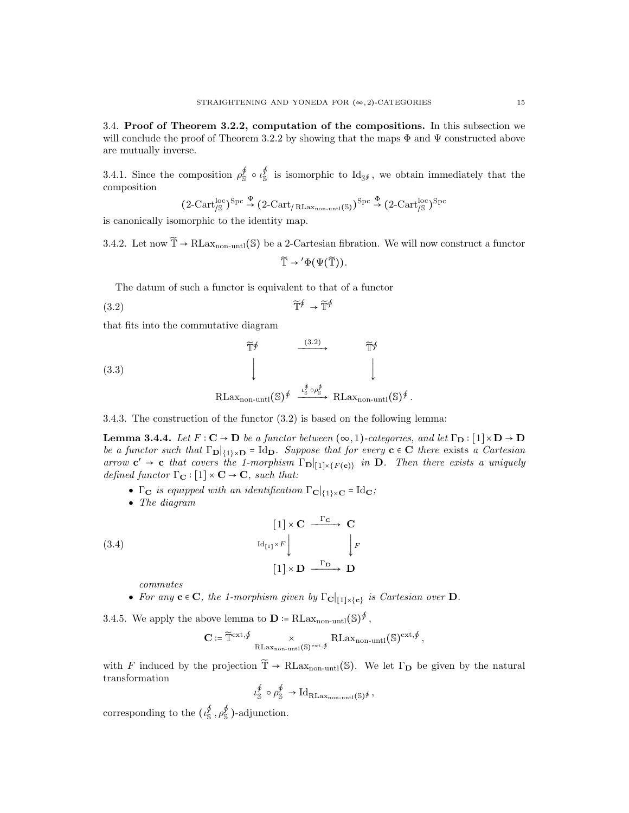3.4. Proof of Theorem 3.2.2, computation of the compositions. In this subsection we will conclude the proof of Theorem 3.2.2 by showing that the maps  $\Phi$  and  $\Psi$  constructed above are mutually inverse.

3.4.1. Since the composition  $\rho_S^{\phi} \circ \iota_S^{\phi}$  is isomorphic to  $\text{Id}_{S^{\phi}}$ , we obtain immediately that the composition

$$
(2\text{-Cart}_\text{/S}^\text{loc})^\text{Spc} \overset{\Psi}{\rightarrow} (2\text{-Cart}_\text{/RLax_{non-unt1}(\mathbb{S})})^\text{Spc} \overset{\Phi}{\rightarrow} (2\text{-Cart}_\text{/S}^\text{loc})^\text{Spc}
$$

is canonically isomorphic to the identity map.

3.4.2. Let now  $\widetilde{\mathbb{T}} \to \text{RLax}_{\text{non-unit}}(\mathbb{S})$  be a 2-Cartesian fibration. We will now construct a functor  $\widetilde{\mathbb{T}} \to ' \Phi(\Psi(\widetilde{\mathbb{T}})).$ 

The datum of such a functor is equivalent to that of a functor

$$
\widetilde{\mathbb{T}}^{\oint} \to \widetilde{\mathbb{T}}^{\oint}
$$

that fits into the commutative diagram

(3.3)  
\n
$$
\widetilde{\mathbb{T}}^{\oint} \xrightarrow{\qquad (3.2)} \widetilde{\mathbb{T}}^{\oint}
$$
\n
$$
\downarrow \qquad \qquad \downarrow
$$
\n
$$
\text{RLax}_{\text{non-unit}}(\mathbb{S})^{\oint} \xrightarrow{\iota_{\mathbb{S}}^{\oint} \circ \rho_{\mathbb{S}}^{\oint}} \text{RLax}_{\text{non-unit}}(\mathbb{S})^{\oint}.
$$

3.4.3. The construction of the functor (3.2) is based on the following lemma:

**Lemma 3.4.4.** Let  $F: \mathbb{C} \to \mathbb{D}$  be a functor between  $(\infty, 1)$ -categories, and let  $\Gamma_{\mathbb{D}}: [1] \times \mathbb{D} \to \mathbb{D}$ be a functor such that  $\Gamma_{\mathbf{D}}|_{\{1\}\times\mathbf{D}} = \text{Id}_{\mathbf{D}}$ . Suppose that for every  $\mathbf{c} \in \mathbf{C}$  there exists a Cartesian arrow  $c' \rightarrow c$  that covers the 1-morphism  $\Gamma_{D}|_{[1] \times \{F(c)\}}$  in D. Then there exists a uniquely defined functor  $\Gamma_{\mathbf{C}} : [1] \times \mathbf{C} \to \mathbf{C}$ , such that:

- Γ<sub>C</sub> is equipped with an identification  $\Gamma_{\mathbf{C}}|_{\{1\}\times\mathbf{C}} = \text{Id}_{\mathbf{C}}$ ;
- The diagram

(3.4)  
\n
$$
\begin{array}{ccc}\n & [1] \times \mathbf{C} & \xrightarrow{\Gamma_{\mathbf{C}}} & \mathbf{C} \\
 & \downarrow^{H_{[1]} \times F} & & \downarrow^{F} \\
 & [1] \times \mathbf{D} & \xrightarrow{\Gamma_{\mathbf{D}}} & \mathbf{D}\n\end{array}
$$

commutes

• For any  $c \in C$ , the 1-morphism given by  $\Gamma_{\mathbf{C}}|_{[1] \times \{c\}}$  is Cartesian over **D**.

3.4.5. We apply the above lemma to  $\mathbf{D} \coloneqq \text{RLax}_{\text{non-unit}}(\mathbb{S})^{\oint}$ ,

$$
\mathbf{C}\coloneqq\widetilde{\mathbb{T}}^{\mathrm{ext},\oint}\underset{\mathrm{R}\mathrm{Lax}_{\mathrm{non-untl}}(\mathbb{S})^\mathrm{ext,\oint}}{\times}\mathrm{R}\mathrm{Lax}_{\mathrm{non-untl}}(\mathbb{S})^\mathrm{ext,\oint},
$$

with F induced by the projection  $\widetilde{T} \to R\text{Lax}_{\text{non-unt}}(\mathbb{S})$ . We let  $\Gamma_{\mathbf{D}}$  be given by the natural transformation

$$
\iota_{\mathbb{S}}^{\varphi} \circ \rho_{\mathbb{S}}^{\varphi} \to \mathrm{Id}_{\mathrm{RLax}_{\mathrm{non-unit}}(\mathbb{S})^{\varphi}},
$$

corresponding to the  $(\iota_{\mathbb{S}}^{\phi}, \rho_{\mathbb{S}}^{\phi})$ -adjunction.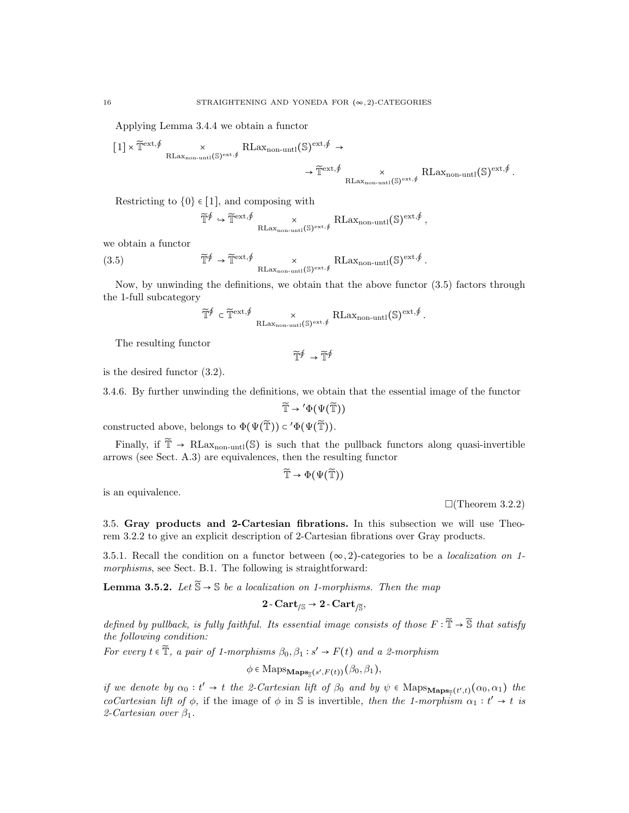Applying Lemma 3.4.4 we obtain a functor

$$
\begin{aligned} \big[1\big] \times \widetilde{\mathbb{T}}^{\mathrm{ext},\oint} & \times \underset{\mathrm{RLax}_{\mathrm{non-untl}}(\mathbb{S})^{\mathrm{ext},\oint}}{\times} & \longrightarrow \widetilde{\mathbb{T}}^{\mathrm{ext},\oint} & \times \\ & & \to \widetilde{\mathbb{T}}^{\mathrm{ext},\oint}} & \underset{\mathrm{RLax}_{\mathrm{non-untl}}(\mathbb{S})^{\mathrm{ext},\oint}}{\times} & \underset{\mathrm{RLax}_{\mathrm{non-untl}}(\mathbb{S})^{\mathrm{ext},\oint}}{\times} . \end{aligned}
$$

Restricting to  $\{0\} \in [1]$ , and composing with

$$
\widetilde{\mathbb{T}}^{\oint} \hookrightarrow \widetilde{\mathbb{T}}^{\text{ext},\oint} \times_{\text{RLax}_{\text{non-unit}}(\mathbb{S})^{\text{ext},\oint}} \text{RLax}_{\text{non-unit}}(\mathbb{S})^{\text{ext},\oint},
$$

we obtain a functor

(3.5) 
$$
\widetilde{\mathbb{T}}^{\oint} \to \widetilde{\mathbb{T}}^{\mathrm{ext},\oint} \times_{\mathrm{RLax}_{\mathrm{non-unit}}(\mathbb{S})^{\mathrm{ext},\oint}} \mathrm{RLax}_{\mathrm{non-unit}}(\mathbb{S})^{\mathrm{ext},\oint}.
$$

Now, by unwinding the definitions, we obtain that the above functor (3.5) factors through the 1-full subcategory

$$
\widetilde{\mathbb{T}}^{\oint} \in \widetilde{\mathbb{T}}^{\mathrm{ext},\oint} \underset{\mathrm{RLax}_{\mathrm{non-unt}}(\mathbb{S})^{\mathrm{ext},\oint}}{\times} \mathrm{RLax}_{\mathrm{non-untl}}(\mathbb{S})^{\mathrm{ext},\oint}.
$$

 $\widetilde{\mathbb{T}}^{\oint} \rightarrow \widetilde{\mathbb{T}}^{\oint}$ 

The resulting functor

is the desired functor (3.2).

3.4.6. By further unwinding the definitions, we obtain that the essential image of the functor

$$
\widetilde{\mathbb{T}} \to {}' \Phi(\Psi(\widetilde{\mathbb{T}}))
$$

constructed above, belongs to  $\Phi(\Psi(\tilde{\mathbb{T}})) \subset \Phi(\Psi(\tilde{\mathbb{T}})).$ 

Finally, if  $\tilde{\mathbb{T}} \to \text{RLax}_{\text{non-unt}}(\mathbb{S})$  is such that the pullback functors along quasi-invertible arrows (see Sect. A.3) are equivalences, then the resulting functor

$$
\widetilde{\mathbb{T}} \rightarrow \Phi(\Psi(\widetilde{\mathbb{T}}))
$$

is an equivalence.

 $\Box$ (Theorem 3.2.2)

3.5. Gray products and 2-Cartesian fibrations. In this subsection we will use Theorem 3.2.2 to give an explicit description of 2-Cartesian fibrations over Gray products.

3.5.1. Recall the condition on a functor between  $(\infty, 2)$ -categories to be a *localization on 1*morphisms, see Sect. B.1. The following is straightforward:

**Lemma 3.5.2.** Let  $\widetilde{\mathbb{S}} \to \mathbb{S}$  be a localization on 1-morphisms. Then the map

$$
2\operatorname{-Cart}_{/\mathbb{S}} \to 2\operatorname{-Cart}_{/\widetilde{\mathbb{S}}},
$$

defined by pullback, is fully faithful. Its essential image consists of those  $F : \tilde{\mathbb{T}} \to \tilde{\mathbb{S}}$  that satisfy the following condition:

For every  $t \in \widetilde{T}$ , a pair of 1-morphisms  $\beta_0, \beta_1 : s' \to F(t)$  and a 2-morphism

 $\phi \in \text{Maps}_{\mathbf{Maps}_{\overline{S}}(s',F(t))}(\beta_0, \beta_1),$ 

if we denote by  $\alpha_0 : t' \to t$  the 2-Cartesian lift of  $\beta_0$  and by  $\psi \in \text{Maps}_{\text{Maps}_{\tilde{T}}(t',t)}(\alpha_0, \alpha_1)$  the coCartesian lift of  $\phi$ , if the image of  $\phi$  in S is invertible, then the 1-morphism  $\alpha_1 : t' \to t$  is 2-Cartesian over  $\beta_1$ .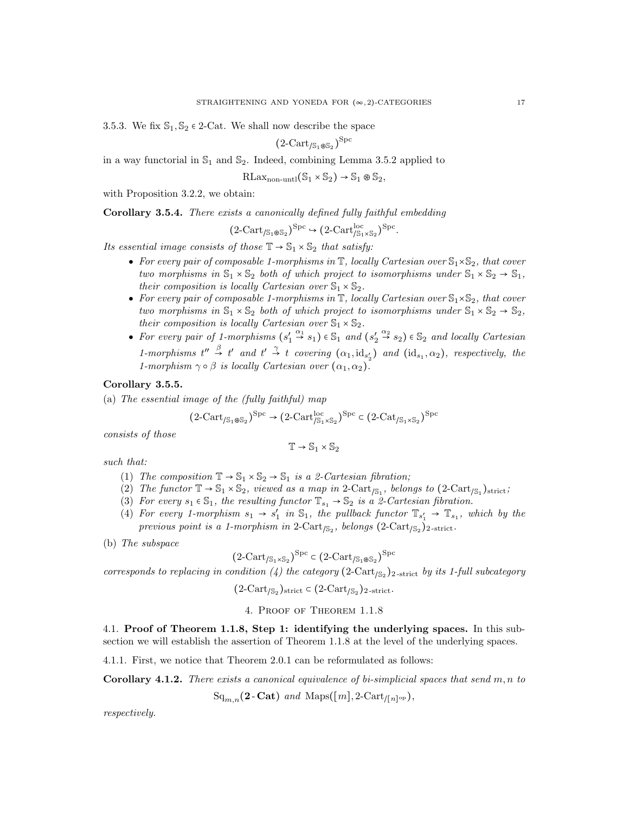3.5.3. We fix  $\mathbb{S}_1, \mathbb{S}_2 \in 2$ -Cat. We shall now describe the space

$$
(2\text{-Cart}_{/\mathbb{S}_1 \otimes \mathbb{S}_2})^{\text{Spc}}
$$

in a way functorial in  $\mathbb{S}_1$  and  $\mathbb{S}_2$ . Indeed, combining Lemma 3.5.2 applied to

$$
RLax_{non-unt1}(\mathbb{S}_1 \times \mathbb{S}_2) \to \mathbb{S}_1 \otimes \mathbb{S}_2,
$$

with Proposition 3.2.2, we obtain:

Corollary 3.5.4. There exists a canonically defined fully faithful embedding

$$
(2-Cart_{/\mathbb{S}_1 \otimes \mathbb{S}_2})^{\text{Spc}} \hookrightarrow (2-Cart_{/\mathbb{S}_1 \times \mathbb{S}_2}^{\text{loc}})^{\text{Spc}}.
$$

Its essential image consists of those  $\mathbb{T} \to \mathbb{S}_1 \times \mathbb{S}_2$  that satisfy:

- For every pair of composable 1-morphisms in  $\mathbb T$ , locally Cartesian over  $\mathbb S_1\times\mathbb S_2$ , that cover two morphisms in  $\mathbb{S}_1 \times \mathbb{S}_2$  both of which project to isomorphisms under  $\mathbb{S}_1 \times \mathbb{S}_2 \to \mathbb{S}_1$ , their composition is locally Cartesian over  $\mathbb{S}_1 \times \mathbb{S}_2$ .
- For every pair of composable 1-morphisms in  $\mathbb T$ , locally Cartesian over  $\mathbb S_1\times\mathbb S_2$ , that cover two morphisms in  $\mathbb{S}_1 \times \mathbb{S}_2$  both of which project to isomorphisms under  $\mathbb{S}_1 \times \mathbb{S}_2 \to \mathbb{S}_2$ , their composition is locally Cartesian over  $\mathbb{S}_1 \times \mathbb{S}_2$ .
- For every pair of 1-morphisms  $(s_1' \overset{\alpha_1}{\rightarrow} s_1) \in \mathbb{S}_1$  and  $(s_2' \overset{\alpha_2}{\rightarrow} s_2) \in \mathbb{S}_2$  and locally Cartesian 1-morphisms  $t'' \stackrel{\beta}{\rightarrow} t'$  and  $t' \stackrel{\gamma}{\rightarrow} t$  covering  $(\alpha_1, id_{s'_2})$  and  $(id_{s_1}, \alpha_2)$ , respectively, the 1-morphism  $\gamma \circ \beta$  is locally Cartesian over  $(\alpha_1, \alpha_2)$ .

## Corollary 3.5.5.

(a) The essential image of the (fully faithful) map

$$
(2\text{-Cart}_{/\mathbb{S}_1\circledast \mathbb{S}_2})^{\text{Spc}} \to (2\text{-Cart}_{/\mathbb{S}_1\times \mathbb{S}_2}^{\text{loc}})^{\text{Spc}} \in (2\text{-Cat}_{/\mathbb{S}_1\times \mathbb{S}_2})^{\text{Spc}}
$$

consists of those

$$
\mathbb{T} \to \mathbb{S}_1 \times \mathbb{S}_2
$$

such that:

- (1) The composition  $\mathbb{T} \to \mathbb{S}_1 \times \mathbb{S}_2 \to \mathbb{S}_1$  is a 2-Cartesian fibration;
- (2) The functor  $\mathbb{T} \to \mathbb{S}_1 \times \mathbb{S}_2$ , viewed as a map in 2-Cart<sub>/S<sub>1</sub></sub>, belongs to  $(2$ -Cart<sub>/S<sub>1</sub></sub>)<sub>strict</sub>;
- (3) For every  $s_1 \in \mathbb{S}_1$ , the resulting functor  $\mathbb{T}_{s_1} \to \mathbb{S}_2$  is a 2-Cartesian fibration.
- (4) For every 1-morphism  $s_1 \rightarrow s'_1$  in  $\mathbb{S}_1$ , the pullback functor  $\mathbb{T}_{s'_1} \rightarrow \mathbb{T}_{s_1}$ , which by the previous point is a 1-morphism in 2-Cart<sub>/S<sub>2</sub></sub>, belongs  $(2$ -Cart<sub>/S<sub>2</sub></sub> $)$ <sub>2-strict</sub>.

(b) The subspace

$$
(2-Cart_{/\mathbb{S}_1 \times \mathbb{S}_2})^{\text{Spc}} \subset (2-Cart_{/\mathbb{S}_1 \otimes \mathbb{S}_2})^{\text{Spc}}
$$

corresponds to replacing in condition (4) the category  $(2$ -Cart<sub>/S<sub>2</sub></sub> $)$ <sub>2-strict</sub> by its 1-full subcategory

$$
(2-Cart_{\sqrt{S_2}})_{strict} \subset (2-Cart_{\sqrt{S_2}})_{2\text{-strict}}.
$$

4. Proof of Theorem 1.1.8

4.1. Proof of Theorem 1.1.8, Step 1: identifying the underlying spaces. In this subsection we will establish the assertion of Theorem 1.1.8 at the level of the underlying spaces.

4.1.1. First, we notice that Theorem 2.0.1 can be reformulated as follows:

**Corollary 4.1.2.** There exists a canonical equivalence of bi-simplicial spaces that send m, n to

 $\operatorname{Sq}_{m,n}(\textbf{2-Cat})$  and  $\operatorname{Maps}([m], 2\text{-Cart}_{/[n]^{\rm op}}),$ 

respectively.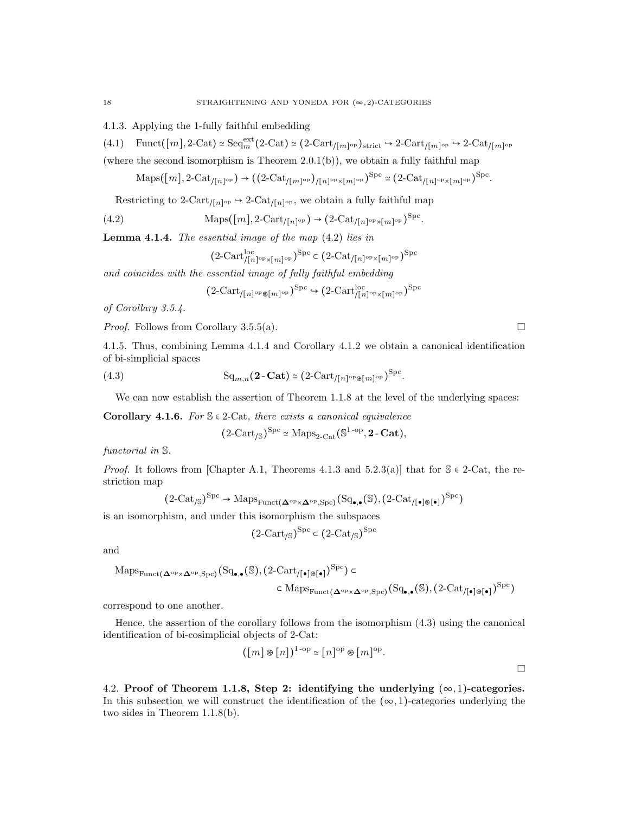4.1.3. Applying the 1-fully faithful embedding

$$
(4.1) \quad \text{Funct}([m], 2\text{-}\text{Cat}) \simeq \text{Seq}_m^{\text{ext}}(2\text{-}\text{Cat}) \simeq (2\text{-}\text{Cart}_{/[m]^{\text{op}}})_{\text{strict}} \hookrightarrow 2\text{-}\text{Cart}_{/[m]^{\text{op}}} \simeq 2\text{-}\text{Cat}_{/[m]^{\text{op}}}
$$

(where the second isomorphism is Theorem  $2.0(1(b))$ , we obtain a fully faithful map

$$
\mathrm{Maps}([m], 2\text{-}\mathrm{Cat}_{/[n]^{\mathrm{op}}}) \rightarrow ((2\text{-}\mathrm{Cat}_{/[m]^{\mathrm{op}}})_{/[n]^{\mathrm{op}} \times [m]^{\mathrm{op}}})^{\mathrm{Spc}} \simeq (2\text{-}\mathrm{Cat}_{/[n]^{\mathrm{op}} \times [m]^{\mathrm{op}}})^{\mathrm{Spc}}.
$$

Restricting to 2-Cart<sub>/[n]</sub><sup>op</sup>  $\rightarrow$  2-Cat<sub>/[n]</sub><sup>op</sup>, we obtain a fully faithful map

(4.2) 
$$
\text{Maps}([m], 2\text{-Cart}_{/[n]^{\text{op}}}) \to (2\text{-Cat}_{/[n]^{\text{op}} \times [m]^{\text{op}}})^{\text{Spc}}.
$$

**Lemma 4.1.4.** The essential image of the map  $(4.2)$  lies in

$$
\big(2\text{-}{\mathrm{Cart}}^{\mathrm{loc}}_{/[n]^{\mathrm{op}} \times [m]^{\mathrm{op}}}\big)^{\mathrm{Spc}} \subset \big(2\text{-}{\mathrm{Cat}}_{/[n]^{\mathrm{op}} \times [m]^{\mathrm{op}}}\big)^{\mathrm{Spc}}
$$

and coincides with the essential image of fully faithful embedding

$$
(2\text{-Cart}_{/[n]^{\text{op}} \otimes [m]^{\text{op}}})^{\text{Spc}} \rightarrow (2\text{-Cart}_{/[n]^{\text{op}} \times [m]^{\text{op}}})^{\text{Spc}}
$$

of Corollary 3.5.4.

*Proof.* Follows from Corollary 3.5.5(a).

4.1.5. Thus, combining Lemma 4.1.4 and Corollary 4.1.2 we obtain a canonical identification of bi-simplicial spaces

(4.3) 
$$
\mathrm{Sq}_{m,n}(\mathbf{2}\text{-}\mathbf{Cat}) \simeq (2\text{-}\mathrm{Cart}_{/[n]^{\mathrm{op}} \otimes [m]^{\mathrm{op}}})^{\mathrm{Spc}}.
$$

We can now establish the assertion of Theorem 1.1.8 at the level of the underlying spaces:

Corollary 4.1.6. For  $\mathcal{S} \in 2$ -Cat, there exists a canonical equivalence

$$
(2-Cart_{\mathcal{S}})^{\mathrm{Spc}} \simeq \mathrm{Maps}_{2-Cat}(\mathbb{S}^{1-\mathrm{op}}, 2-\mathbf{Cat}),
$$

functorial in S.

*Proof.* It follows from [Chapter A.1, Theorems 4.1.3 and 5.2.3(a)] that for  $\mathcal{S} \in 2$ -Cat, the restriction map

$$
(2\text{-}\mathrm{Cat}_{/\mathbb{S}})^{\mathrm{Spc}}\to\mathrm{Maps}_{\mathrm{Funct}(\mathbf{\Delta}^{\mathrm{op}}\times\mathbf{\Delta}^{\mathrm{op}},\mathrm{Spc})}(\mathrm{Sq}_{\bullet,\bullet}(\mathbb{S}),(2\text{-}\mathrm{Cat}_{/\llbracket\bullet\rrbracket\circ\llbracket\bullet\rrbracket})^{\mathrm{Spc}})
$$

is an isomorphism, and under this isomorphism the subspaces

$$
(2-Cart_{\mathcal{S}})^{\text{Spc}} \subset (2-Cat_{\mathcal{S}})^{\text{Spc}}
$$

and

$$
\mathrm{Maps}_{\mathrm{Funct}(\mathbf{\Delta}^{\mathrm{op}} \times \mathbf{\Delta}^{\mathrm{op}}, \mathrm{Spc})}(\mathrm{Sq}_{\bullet,\bullet}(\mathbb{S}), (2\text{-Cart}_{/[\bullet]\circledast[\bullet]})^{\mathrm{Spc}}) \subset \\ \subset \mathrm{Maps}_{\mathrm{Funct}(\mathbf{\Delta}^{\mathrm{op}} \times \mathbf{\Delta}^{\mathrm{op}}, \mathrm{Spc})}(\mathrm{Sq}_{\bullet,\bullet}(\mathbb{S}), (2\text{-Cat}_{/[\bullet]\circledast[\bullet]})^{\mathrm{Spc}})
$$

correspond to one another.

Hence, the assertion of the corollary follows from the isomorphism (4.3) using the canonical identification of bi-cosimplicial objects of 2-Cat:

$$
([m] \otimes [n])^{1\text{-op}} \simeq [n]^{\text{op}} \otimes [m]^{\text{op}}.
$$

4.2. Proof of Theorem 1.1.8, Step 2: identifying the underlying  $(\infty, 1)$ -categories. In this subsection we will construct the identification of the  $(\infty, 1)$ -categories underlying the two sides in Theorem 1.1.8(b).

 $\Box$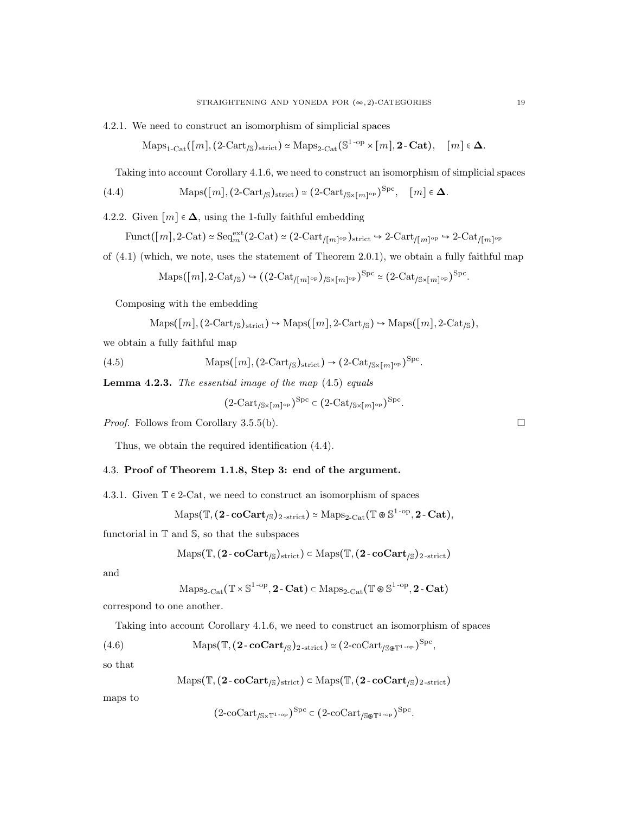4.2.1. We need to construct an isomorphism of simplicial spaces

$$
\mathrm{Maps}_{1\text{-}\mathrm{Cat}}([m], (2\text{-}\mathrm{Cart}_{/\mathbb{S}})_{\mathrm{strict}}) \simeq \mathrm{Maps}_{2\text{-}\mathrm{Cat}}(\mathbb{S}^{1\text{-}\mathrm{op}} \times [m], 2\text{-}\mathrm{Cat}), \quad [m] \in \Delta.
$$

Taking into account Corollary 4.1.6, we need to construct an isomorphism of simplicial spaces

(4.4) 
$$
\text{Maps}([m], (2\text{-Cart}_{\beta})_{\text{strict}}) \simeq (2\text{-Cart}_{\beta \times [m]^{\text{op}}})^{\text{Spc}}, \quad [m] \in \Delta.
$$

4.2.2. Given  $[m] \in \Delta$ , using the 1-fully faithful embedding

$$
\mathrm{Funct}(\big[m\big], 2\text{-}\mathrm{Cat}) \simeq \mathrm{Seq}_m^{\mathrm{ext}}\big(2\text{-}\mathrm{Cat}\big) \simeq \big(2\text{-}\mathrm{Cart}_{/\big[m\big]^{\mathrm{op}}}\big)_{\mathrm{strict}} \hookrightarrow 2\text{-}\mathrm{Cart}_{/\big[m\big]^{\mathrm{op}}} \hookrightarrow 2\text{-}\mathrm{Cat}_{/\big[m\big]^{\mathrm{op}}}
$$

of (4.1) (which, we note, uses the statement of Theorem 2.0.1), we obtain a fully faithful map

$$
\mathrm{Maps}([m], 2\text{-}\mathrm{Cat}_{/\mathbb{S}}) \hookrightarrow ((2\text{-}\mathrm{Cat}_{/[m]^{\mathrm{op}}})_{/\mathbb{S}\times[m]^{\mathrm{op}}})^{\mathrm{Spc}} \simeq (2\text{-}\mathrm{Cat}_{/\mathbb{S}\times[m]^{\mathrm{op}}})^{\mathrm{Spc}}.
$$

Composing with the embedding

$$
Maps([m], (2-Cart_{\mathcal{S}})_{strict}) \hookrightarrow Maps([m], 2-Cart_{\mathcal{S}}) \hookrightarrow Maps([m], 2-Cat_{\mathcal{S}}),
$$

we obtain a fully faithful map

(4.5) 
$$
\text{Maps}([m], (2\text{-Cart}_{\beta})_{\text{strict}}) \to (2\text{-Cat}_{/\mathbb{S} \times [m]^{\text{op}}})^{\text{Spc}}.
$$

**Lemma 4.2.3.** The essential image of the map  $(4.5)$  equals

$$
(2\text{-Cart}_{/\mathbb{S}\times[m]^{\text{op}}})^{\text{Spc}} \subset (2\text{-Cat}_{/\mathbb{S}\times[m]^{\text{op}}})^{\text{Spc}}.
$$

*Proof.* Follows from Corollary 3.5.5(b).

Thus, we obtain the required identification (4.4).

## 4.3. Proof of Theorem 1.1.8, Step 3: end of the argument.

4.3.1. Given  $\mathbb{T} \in 2$ -Cat, we need to construct an isomorphism of spaces

$$
\mathrm{Maps}(\mathbb{T}, (2\text{-}\mathbf{coCart}_{/\mathbb{S}})_{2\text{-strict}})\simeq \mathrm{Maps}_{2\text{-}\mathrm{Cat}}(\mathbb{T}\circledast \mathbb{S}^{1\text{-}\mathrm{op}}, 2\text{-}\mathbf{Cat}),
$$

functorial in  $T$  and  $S$ , so that the subspaces

$$
\mathrm{Maps}(\mathbb{T}, (2\text{-}\mathbf{coCart}_{/\mathbb{S}})_{\mathrm{strict}}) \subset \mathrm{Maps}(\mathbb{T}, (2\text{-}\mathbf{coCart}_{/\mathbb{S}})_{2\text{-strict}})
$$

and

$$
\mathrm{Maps}_{2\text{-}\mathrm{Cat}}(\mathbb{T}\times\mathbb{S}^{1\text{-}\mathrm{op}},2\text{-}\mathbf{Cat})\subset\mathrm{Maps}_{2\text{-}\mathrm{Cat}}(\mathbb{T}\circledast\mathbb{S}^{1\text{-}\mathrm{op}},2\text{-}\mathbf{Cat})
$$

correspond to one another.

Taking into account Corollary 4.1.6, we need to construct an isomorphism of spaces

(4.6) 
$$
\text{Maps}(\mathbb{T}, (\mathbf{2} \text{-}\mathbf{coCart}_{/\mathbb{S}})_{2\text{-strict}}) \simeq (2\text{-}\mathrm{coCart}_{/\mathbb{S} \otimes \mathbb{T}^{1\text{-}\mathrm{op}}})^{\mathrm{Spc}},
$$

so that

$$
\mathrm{Maps}(\mathbb{T}, (2\text{-}\mathbf{coCart}_{/\mathbb{S}})_{\mathrm{strict}})\subset \mathrm{Maps}(\mathbb{T}, (2\text{-}\mathbf{coCart}_{/\mathbb{S}})_{2\text{-strict}})
$$

maps to

$$
(2\text{-}\mathrm{coCart}_{/\mathbb S \times \mathbb T^{1-\mathrm{op}}})^{\mathrm{Spc}} \subset (2\text{-}\mathrm{coCart}_{/\mathbb S \otimes \mathbb T^{1-\mathrm{op}}})^{\mathrm{Spc}}.
$$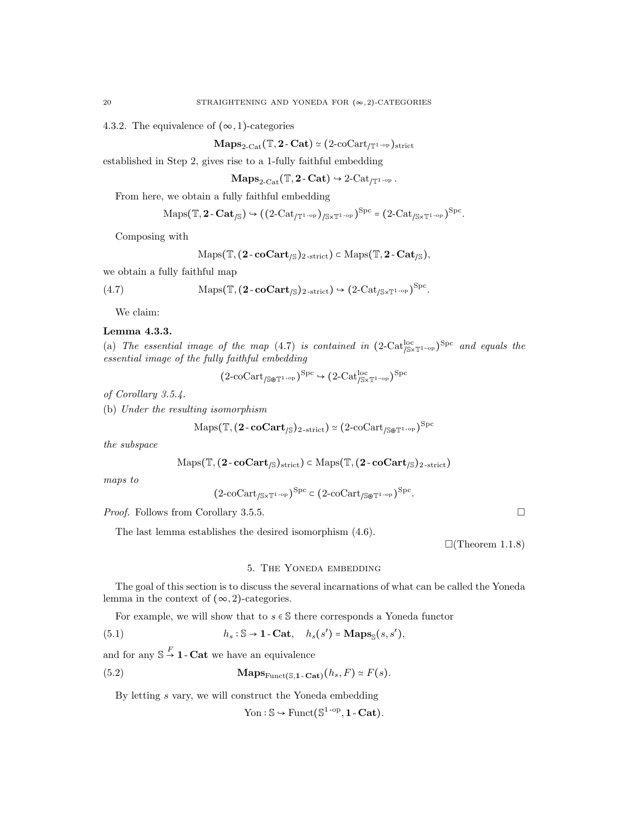4.3.2. The equivalence of  $(\infty, 1)$ -categories

 $\mathbf{Maps}_{2\text{-}\mathrm{Cat}}(\mathbb{T}, \mathbf{2\text{-}Cat}) \simeq (2\text{-}\mathrm{coCart}_{/\mathbb{T}^{1\text{-}\mathrm{op}}})_{\mathrm{strict}}$ 

established in Step 2, gives rise to a 1-fully faithful embedding

 $\mathbf{Maps}_{2\text{-}\mathrm{Cat}}(\mathbb{T}, \mathbf{2\text{-}Cat}) \rightarrow 2\text{-}\mathrm{Cat}_{/\mathbb{T}^{1\text{-}\mathrm{op}}}$ .

From here, we obtain a fully faithful embedding

$$
\mathrm{Maps}(\mathbb{T}, \mathbf{2}\text{-}\mathbf{Cat}_{/\mathbb{S}}) \hookrightarrow ((2\text{-}\mathrm{Cat}_{/\mathbb{T}^{1\text{-}\mathrm{op}}})_{/\mathbb{S}\times\mathbb{T}^{1\text{-}\mathrm{op}}})^{\mathrm{Spc}} = (2\text{-}\mathrm{Cat}_{/\mathbb{S}\times\mathbb{T}^{1\text{-}\mathrm{op}}})^{\mathrm{Spc}}.
$$

Composing with

$$
\mathrm{Maps}(\mathbb{T}, (2\text{-}\mathbf{coCart}_{/\mathbb{S}})_{2\text{-strict}})\subset \mathrm{Maps}(\mathbb{T}, 2\text{-}\mathbf{Cat}_{/\mathbb{S}}),
$$

we obtain a fully faithful map

(4.7) 
$$
\text{Maps}(\mathbb{T}, (\mathbf{2} \text{-} \mathbf{coCart}_{\beta})_{2\text{-strict}}) \hookrightarrow (2\text{-}Cat_{/\mathbb{S}\times\mathbb{T}^{1\text{-}op}})^{\text{Spc}}.
$$

We claim:

#### Lemma 4.3.3.

(a) The essential image of the map (4.7) is contained in  $(2$ -Cat<sup>loc</sup><sub>/S×T1</sub>-<sub>op</sub>)<sup>Spc</sup> and equals the essential image of the fully faithful embedding

$$
(2\text{-}\mathrm{coCart}_{/\mathbb{S}\otimes\mathbb{T}^{1\text{-}\mathrm{op}}})^{\mathrm{Spc}}\hookrightarrow (2\text{-}\mathrm{Cat}_{/\mathbb{S}\times\mathbb{T}^{1\text{-}\mathrm{op}} }^{\mathrm{loc}})^{\mathrm{Spc}}
$$

of Corollary 3.5.4.

(b) Under the resulting isomorphism

$$
\mathrm{Maps}(\mathbb{T}, (\mathbf{2}\text{-}\mathbf{coCart}_{/\mathbb{S}})_{\mathbf{2}\text{-strict}}) \simeq (2\text{-}\mathrm{coCart}_{/\mathbb{S}\circ \mathbb{F}^{\mathbf{1}\text{-}\mathrm{op}}})^{\mathrm{Spc}}
$$

the subspace

$$
\mathrm{Maps}(\mathbb{T}, (2\text{-}\mathbf{coCart}_{/\mathbb{S}})_{\mathrm{strict}})\subset \mathrm{Maps}(\mathbb{T}, (2\text{-}\mathbf{coCart}_{/\mathbb{S}})_{2\text{-strict}})
$$

maps to

$$
(2\text{-coCart}_{\sqrt{S} \times T^{1-\text{op}}})^{\text{Spc}} \subset (2\text{-coCart}_{\sqrt{S} \otimes T^{1-\text{op}}})^{\text{Spc}}.
$$

*Proof.* Follows from Corollary 3.5.5. □

The last lemma establishes the desired isomorphism (4.6).

 $\Box$ (Theorem 1.1.8)

#### 5. The Yoneda embedding

The goal of this section is to discuss the several incarnations of what can be called the Yoneda lemma in the context of  $(\infty, 2)$ -categories.

For example, we will show that to  $s \in \mathbb{S}$  there corresponds a Yoneda functor

(5.1) 
$$
h_s : \mathbb{S} \to \mathbf{1} - \mathbf{Cat}, \quad h_s(s') = \mathbf{Maps}_{\mathbb{S}}(s, s'),
$$

and for any  $\mathbb{S} \stackrel{F}{\rightarrow} \mathbf{1}$  - Cat we have an equivalence

(5.2) 
$$
\mathbf{Maps}_{\text{Funct}(\mathbb{S},1-\text{Cat})}(h_s,F) \simeq F(s).
$$

By letting s vary, we will construct the Yoneda embedding

Yon :  $\mathbb{S} \hookrightarrow$  Funct( $\mathbb{S}^{1\text{-op}},$  1 - Cat).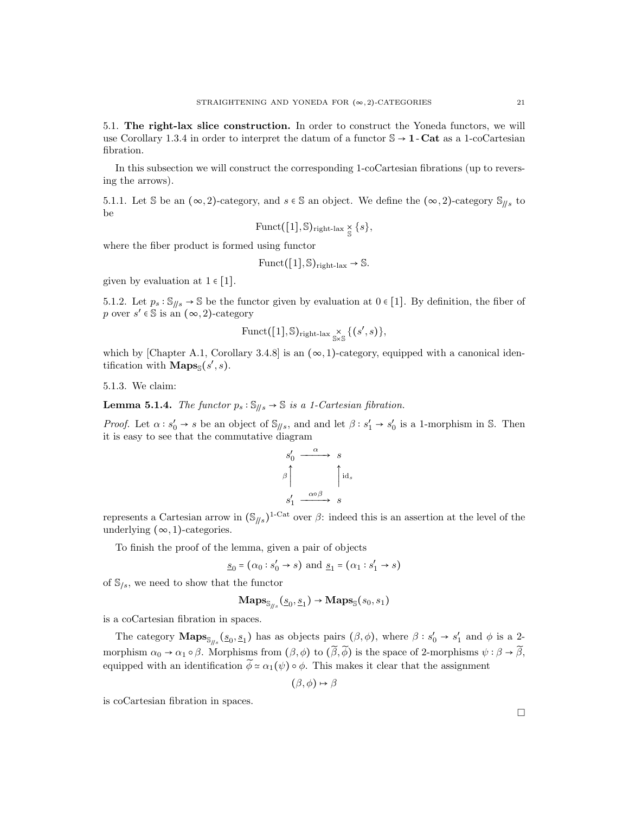5.1. The right-lax slice construction. In order to construct the Yoneda functors, we will use Corollary 1.3.4 in order to interpret the datum of a functor  $\mathbb{S} \to \mathbf{1}$  - Cat as a 1-coCartesian fibration.

In this subsection we will construct the corresponding 1-coCartesian fibrations (up to reversing the arrows).

5.1.1. Let S be an  $(\infty, 2)$ -category, and  $s \in \mathbb{S}$  an object. We define the  $(\infty, 2)$ -category  $\mathbb{S}_{\parallel s}$  to be

$$
\text{Funct}([1], \mathbb{S})_{\text{right-lax}} \underset{\mathbb{S}}{\times} \{s\},
$$

where the fiber product is formed using functor

$$
\text{Funct}([1], \mathbb{S})_{\text{right-lax}} \to \mathbb{S}.
$$

given by evaluation at  $1 \in [1]$ .

5.1.2. Let  $p_s : \mathbb{S}_{\parallel/s} \to \mathbb{S}$  be the functor given by evaluation at  $0 \in [1]$ . By definition, the fiber of p over  $s' \in \mathbb{S}$  is an  $(\infty, 2)$ -category

$$
\text{Funct}([1], \mathbb{S})_{\text{right-lax}} \underset{\mathbb{S} \times \mathbb{S}}{\times} \{ (s', s) \},
$$

which by [Chapter A.1, Corollary 3.4.8] is an  $(\infty, 1)$ -category, equipped with a canonical identification with  $\mathbf{Maps}_{\mathbb{S}}(s', s)$ .

5.1.3. We claim:

**Lemma 5.1.4.** The functor  $p_s : \mathbb{S}_{\parallel s} \to \mathbb{S}$  is a 1-Cartesian fibration.

*Proof.* Let  $\alpha : s'_0 \to s$  be an object of  $\mathcal{S}_{\parallel/s}$ , and and let  $\beta : s'_1 \to s'_0$  is a 1-morphism in S. Then it is easy to see that the commutative diagram

$$
s_0' \xrightarrow{\alpha} s
$$
  

$$
\beta \qquad \qquad \text{id}_s
$$
  

$$
s_1' \xrightarrow{\alpha \circ \beta} s
$$

represents a Cartesian arrow in  $(\mathbb{S}_{\parallel s})^{\text{1-Cat}}$  over  $\beta$ : indeed this is an assertion at the level of the underlying  $(\infty, 1)$ -categories.

To finish the proof of the lemma, given a pair of objects

$$
\underline{s}_0 = (\alpha_0 : s'_0 \rightarrow s)
$$
 and  $\underline{s}_1 = (\alpha_1 : s'_1 \rightarrow s)$ 

of  $\mathcal{S}_{\ell s}$ , we need to show that the functor

$$
\mathbf{Maps}_{\mathbb{S}_{\textit{if }s}}(\underline{s}_0, \underline{s}_1) \rightarrow \mathbf{Maps}_{\mathbb{S}}(s_0, s_1)
$$

is a coCartesian fibration in spaces.

The category  $\mathbf{Maps}_{\mathcal{S}_{\beta}}(s_0, s_1)$  has as objects pairs  $(\beta, \phi)$ , where  $\beta : s'_0 \to s'_1$  and  $\phi$  is a 2morphism  $\alpha_0 \to \alpha_1 \circ \beta$ . Morphisms from  $(\beta, \phi)$  to  $(\widetilde{\beta}, \widetilde{\phi})$  is the space of 2-morphisms  $\psi : \beta \to \widetilde{\beta}$ , equipped with an identification  $\phi \simeq \alpha_1(\psi) \circ \phi$ . This makes it clear that the assignment

$$
(\beta, \phi) \mapsto \beta
$$

is coCartesian fibration in spaces.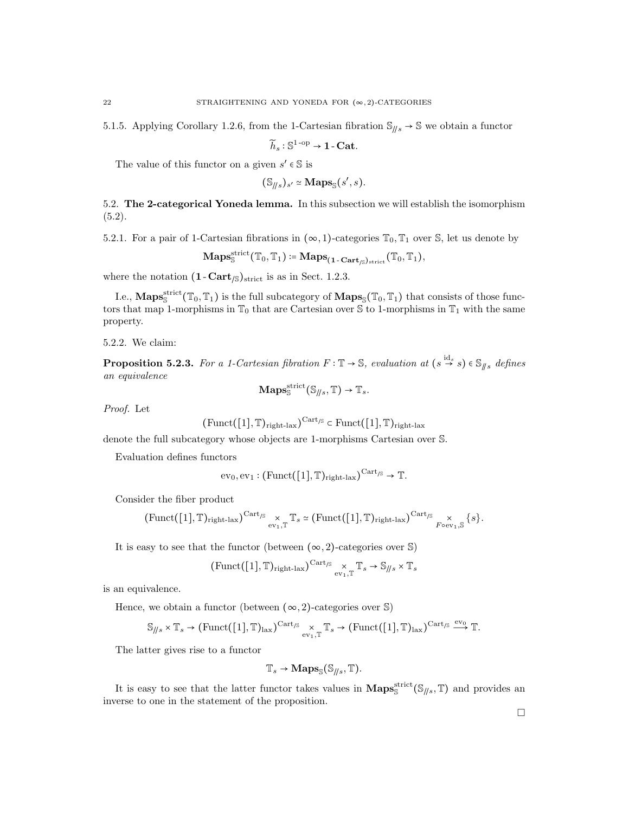5.1.5. Applying Corollary 1.2.6, from the 1-Cartesian fibration  $\mathcal{S}_{\parallel s} \to \mathcal{S}$  we obtain a functor

$$
\widetilde{h}_s : \mathbb{S}^{1-\text{op}} \to \mathbf{1}\text{-}\mathbf{Cat}.
$$

The value of this functor on a given  $s' \in \mathbb{S}$  is

$$
(\mathbb{S}_{\parallel/s})_{s'} \simeq \mathbf{Maps}_{\mathbb{S}}(s',s).
$$

5.2. The 2-categorical Yoneda lemma. In this subsection we will establish the isomorphism  $(5.2).$ 

5.2.1. For a pair of 1-Cartesian fibrations in  $(\infty, 1)$ -categories  $\mathbb{T}_0$ ,  $\mathbb{T}_1$  over S, let us denote by

$$
\mathbf{Maps}^{\mathrm{strict}}_{\mathbb{S}}(\mathbb{T}_0,\mathbb{T}_1)\coloneqq\mathbf{Maps}_{\mathbf{(1-Cart}_{/\mathbb{S}})_{\mathrm{strict}}}(\mathbb{T}_0,\mathbb{T}_1),
$$

where the notation  $(1 - \text{Cart}_{\sqrt{S}})_{\text{strict}}$  is as in Sect. 1.2.3.

I.e.,  $\mathbf{Maps}^{\text{strict}}_{\mathbb{S}}(\mathbb{T}_0, \mathbb{T}_1)$  is the full subcategory of  $\mathbf{Maps}_{\mathbb{S}}(\mathbb{T}_0, \mathbb{T}_1)$  that consists of those functors that map 1-morphisms in  $\mathbb{T}_0$  that are Cartesian over  $\mathbb{S}$  to 1-morphisms in  $\mathbb{T}_1$  with the same property.

5.2.2. We claim:

**Proposition 5.2.3.** For a 1-Cartesian fibration  $F : \mathbb{T} \to \mathbb{S}$ , evaluation at  $(s \stackrel{\text{id}_s}{\to} s) \in \mathbb{S}_{\parallel s}$  defines an equivalence

$$
\mathbf{Maps}^{\text{strict}}_{\mathbb{S}}(\mathbb{S}_{\#s}, \mathbb{T}) \to \mathbb{T}_{s}.
$$

Proof. Let

$$
(\mathrm{Funct}([1], \mathbb{T})_{\mathrm{right-lax}})^{\mathrm{Cart}_{\mathrm{fS}}} \subset \mathrm{Funct}([1], \mathbb{T})_{\mathrm{right-lax}}
$$

denote the full subcategory whose objects are 1-morphisms Cartesian over S.

Evaluation defines functors

$$
ev_0, ev_1: (Funct([1], \mathbb{T})_{right\text{-}lax})^{Cart_{\text{S}}} \to \mathbb{T}.
$$

Consider the fiber product

$$
(\mathrm{Funct}([1], \mathbb{T})_{\mathrm{right-lax}})^{\mathrm{Cart}_{/S}} \underset{\mathrm{ev}_1, \mathbb{T}}{\times} \mathbb{T}_s \simeq (\mathrm{Funct}([1], \mathbb{T})_{\mathrm{right-lax}})^{\mathrm{Cart}_{/S}} \underset{\mathrm{Foe}_{V_1, S}}{\times} \{s\}.
$$

It is easy to see that the functor (between  $(\infty, 2)$ -categories over S)

$$
(\mathrm{Funct}([1], \mathbb{T})_{\mathrm{right\text{-}lax}})^{\mathrm{Cart}_{/S}} \underset{\mathrm{ev}_1, \mathbb{T}}{\times} \mathbb{T}_s \to \mathbb{S}_{\text{--} \times} \times \mathbb{T}_s
$$

is an equivalence.

Hence, we obtain a functor (between  $(\infty, 2)$ -categories over S)

$$
\mathbb{S}_{\textit{if }s} \times \mathbb{T}_{s} \to (\text{Funct}([1], \mathbb{T})_{\text{lax}})^{\text{Cart}_{\textit{fs}}} \times_{\text{ev}_{1}, \mathbb{T}} \mathbb{T}_{s} \to (\text{Funct}([1], \mathbb{T})_{\text{lax}})^{\text{Cart}_{\textit{fs}}} \xrightarrow{\text{ev}_{0}} \mathbb{T}.
$$

The latter gives rise to a functor

$$
\mathbb{T}_s \to \mathbf{Maps}_{\mathbb{S}}(\mathbb{S}_{\textit{f/s}}, \mathbb{T}).
$$

It is easy to see that the latter functor takes values in  $\text{Maps}_{\mathbb{S}}^{\text{strict}}(\mathbb{S}_{\parallel/s}, \mathbb{T})$  and provides an inverse to one in the statement of the proposition.

 $\Box$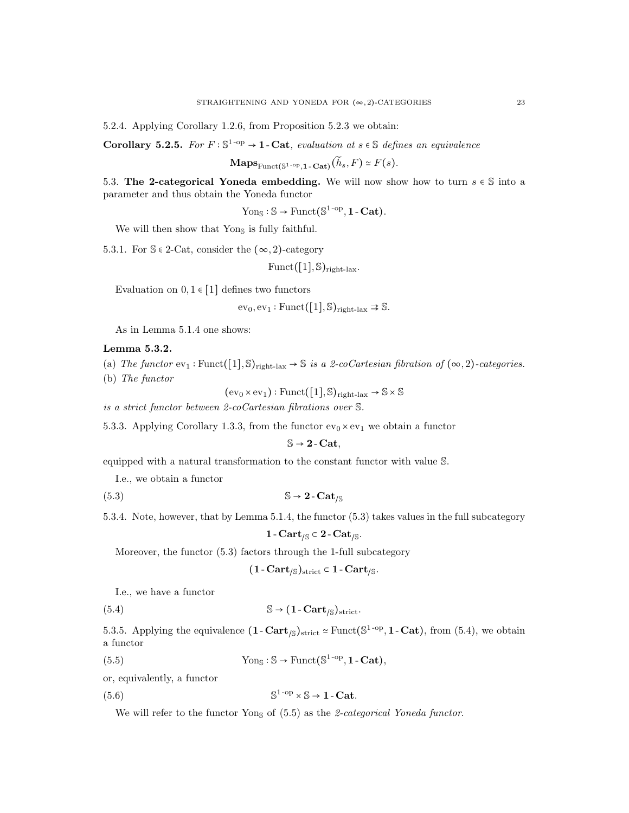5.2.4. Applying Corollary 1.2.6, from Proposition 5.2.3 we obtain:

Corollary 5.2.5. For  $F : \mathbb{S}^{1-\text{op}} \to \mathbf{1}$ -Cat, evaluation at  $s \in \mathbb{S}$  defines an equivalence

$$
\mathbf{Maps}_{\mathrm{Funct}(\mathbb{S}^{1-\mathrm{op}},\mathbf{1}-\mathbf{Cat})}(\widetilde{h}_s,F) \simeq F(s).
$$

5.3. The 2-categorical Yoneda embedding. We will now show how to turn  $s \in \mathbb{S}$  into a parameter and thus obtain the Yoneda functor

 $\text{Yon}_{\mathbb{S}} : \mathbb{S} \to \text{Funct}(\mathbb{S}^{1-\text{op}}, 1-\text{Cat}).$ 

We will then show that  $\text{Yon}_{\mathbb{S}}$  is fully faithful.

5.3.1. For  $\mathcal{S} \in 2$ -Cat, consider the  $(\infty, 2)$ -category

 $Funct([1], \mathbb{S})_{right\}$ 

Evaluation on  $0, 1 \in [1]$  defines two functors

 $ev_0, ev_1 : \text{Funct}([1], \mathbb{S})_{\text{right-lax}} \Rightarrow \mathbb{S}.$ 

As in Lemma 5.1.4 one shows:

### Lemma 5.3.2.

- (a) The functor  $ev_1 : \text{Funct}([1], \mathbb{S})_{\text{right-law}} \to \mathbb{S}$  is a 2-coCartesian fibration of  $(\infty, 2)$ -categories.
- (b) The functor

 $(ev_0 \times ev_1) : Funct([1], \mathbb{S})_{right-last} \rightarrow \mathbb{S} \times \mathbb{S}$ 

is a strict functor between 2-coCartesian fibrations over S.

5.3.3. Applying Corollary 1.3.3, from the functor  $ev_0 \times ev_1$  we obtain a functor

 $\mathbb{S} \rightarrow 2$  - Cat,

equipped with a natural transformation to the constant functor with value S.

I.e., we obtain a functor

(5.3)  $\mathbb{S} \to 2$  -  $\mathrm{Cat}_{\mathbb{S}}$ 

5.3.4. Note, however, that by Lemma 5.1.4, the functor (5.3) takes values in the full subcategory

$$
1 - \mathbf{Cart}_{/\mathbb{S}} \subset 2 - \mathbf{Cat}_{/\mathbb{S}}.
$$

Moreover, the functor (5.3) factors through the 1-full subcategory

$$
(1 - \mathbf{Cart}_{/\mathbb{S}})_{\mathrm{strict}} \subset 1 - \mathbf{Cart}_{/\mathbb{S}}.
$$

I.e., we have a functor

(5.4) 
$$
\mathbb{S} \to (1 - \text{Cart}_{\text{/S}})_{\text{strict}}.
$$

5.3.5. Applying the equivalence  $(1 - \text{Cart}_{\mathcal{S}})_{\text{strict}} \simeq \text{Funct}(\mathbb{S}^{1-\text{op}}, 1-\text{Cat})$ , from  $(5.4)$ , we obtain a functor

(5.5) 
$$
Yon_S: S \to \text{Funct}(S^{1-op}, \mathbf{1-Cat}),
$$

or, equivalently, a functor

 $(5.6)$  S  $\mathbb{S}^{1\text{-op}} \times \mathbb{S} \to 1\text{-}\mathrm{Cat}.$ 

We will refer to the functor Yons of  $(5.5)$  as the 2-categorical Yoneda functor.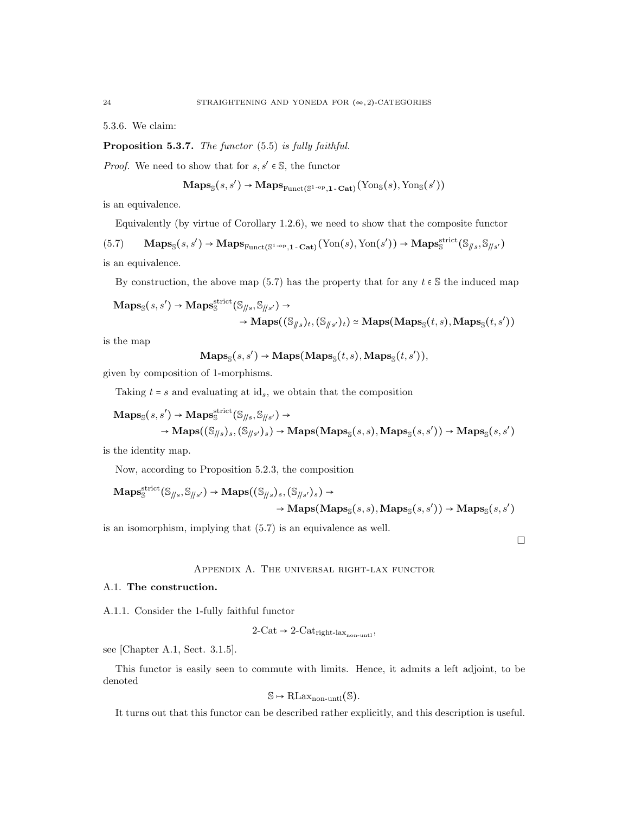5.3.6. We claim:

Proposition 5.3.7. The functor (5.5) is fully faithful.

*Proof.* We need to show that for  $s, s' \in \mathbb{S}$ , the functor

$$
\mathbf{Maps}_{\mathbb{S}}(s, s') \to \mathbf{Maps}_{\mathrm{Funct}(\mathbb{S}^{1-\mathrm{op}}, 1-\mathbf{Cat})}(\mathrm{Yon}_{\mathbb{S}}(s), \mathrm{Yon}_{\mathbb{S}}(s'))
$$

is an equivalence.

Equivalently (by virtue of Corollary 1.2.6), we need to show that the composite functor

 $(5.7)$  Maps<sub>S</sub> $(s, s') \rightarrow \text{Maps}_{\text{Funct}(\mathbb{S}^{1-\text{op}}, 1-\text{Cat})}(\text{Yon}(s), \text{Yon}(s')) \rightarrow \text{Maps}_{\mathbb{S}}^{\text{strict}}(\mathbb{S}_{\parallel s}, \mathbb{S}_{\parallel s'})$ is an equivalence.

By construction, the above map (5.7) has the property that for any  $t \in \mathbb{S}$  the induced map

$$
Maps_{\mathbb{S}}(s, s') \rightarrow Maps_{\mathbb{S}}^{strict}(\mathbb{S}_{\parallel s}, \mathbb{S}_{\parallel s'}) \rightarrow \rightarrow Maps((\mathbb{S}_{\parallel s})_t, (\mathbb{S}_{\parallel s'})_t) \simeq Maps(Maps_{\mathbb{S}}(t, s), Maps_{\mathbb{S}}(t, s'))
$$

is the map

 $\mathbf{Maps}_{\mathbb{S}}(s, s') \rightarrow \mathbf{Maps}(\mathbf{Maps}_{\mathbb{S}}(t, s), \mathbf{Maps}_{\mathbb{S}}(t, s')),$ 

given by composition of 1-morphisms.

Taking  $t = s$  and evaluating at id<sub>s</sub>, we obtain that the composition

$$
\begin{aligned}\n\mathbf{Maps}_{\mathbb{S}}(s,s') &\rightarrow \mathbf{Maps}_{\mathbb{S}}^{\text{strict}}(\mathbb{S}_{\parallel s},\mathbb{S}_{\parallel s'}) &\rightarrow \\
&\rightarrow \mathbf{Maps}((\mathbb{S}_{\parallel s})_s,(\mathbb{S}_{\parallel s'})_s) &\rightarrow \mathbf{Maps}(\mathbf{Maps}_{\mathbb{S}}(s,s),\mathbf{Maps}_{\mathbb{S}}(s,s')) &\rightarrow \mathbf{Maps}_{\mathbb{S}}(s,s')\n\end{aligned}
$$

is the identity map.

Now, according to Proposition 5.2.3, the composition

$$
Maps^{strict}_{\mathbb{S}}(\mathbb{S}_{\parallel s}, \mathbb{S}_{\parallel s'}) \to Maps((\mathbb{S}_{\parallel s})_s, (\mathbb{S}_{\parallel s'})_s) \to \to Maps(Maps_{\mathbb{S}}(s, s), Maps_{\mathbb{S}}(s, s')) \to Maps_{\mathbb{S}}(s, s')
$$

is an isomorphism, implying that (5.7) is an equivalence as well.

## Appendix A. The universal right-lax functor

 $\Box$ 

## A.1. The construction.

A.1.1. Consider the 1-fully faithful functor

$$
2\text{-Cat} \to 2\text{-Cat}_{\text{right-lax}_{\text{non-unit}}},
$$

see [Chapter A.1, Sect. 3.1.5].

This functor is easily seen to commute with limits. Hence, it admits a left adjoint, to be denoted

$$
\mathbb{S} \mapsto \mathrm{RLax}_{\mathrm{non-untl}}(\mathbb{S}).
$$

It turns out that this functor can be described rather explicitly, and this description is useful.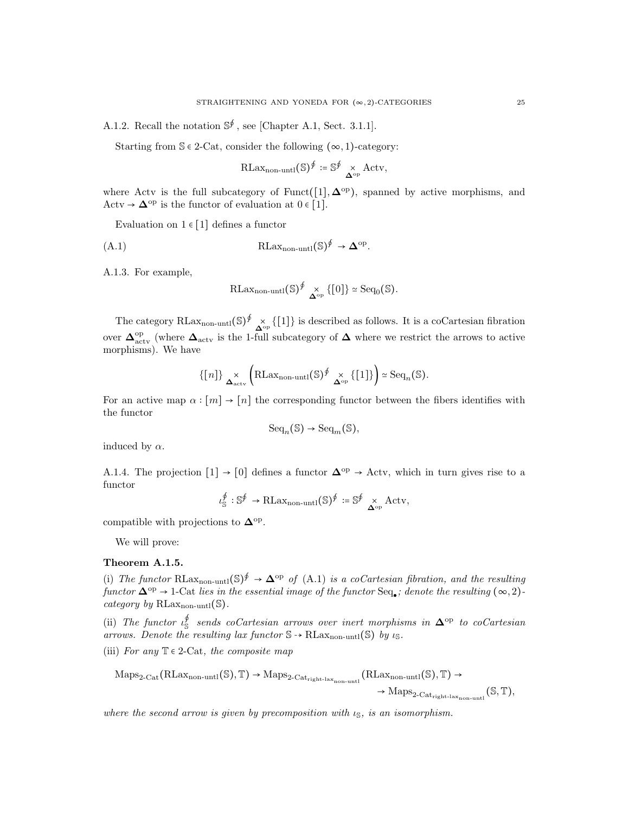A.1.2. Recall the notation  $\mathbb{S}^{\oint}$ , see [Chapter A.1, Sect. 3.1.1].

Starting from  $\mathcal{S} \in 2$ -Cat, consider the following  $(\infty, 1)$ -category:

$$
\text{RLax}_{\text{non-untl}}(\mathbb{S})^{\oint} := \mathbb{S}^{\oint} \underset{\mathbf{\Delta}^{\text{op}}}{\times} \text{Actv},
$$

where Actv is the full subcategory of Funct([1],  $\Delta^{\rm op}$ ), spanned by active morphisms, and Actv  $\rightarrow \mathbf{\Delta}^{\text{op}}$  is the functor of evaluation at  $0 \in [1]$ .

Evaluation on  $1 \in [1]$  defines a functor

$$
RLax_{non-untl}(\mathbb{S})^{\oint} \to \mathbf{\Delta}^{\mathrm{op}}.
$$

A.1.3. For example,

$$
\mathrm{RLax}_{\mathrm{non-untl}}(\mathbb{S})^{\oint} \underset{\mathbf{\Delta}^{\mathrm{op}}}{\times} \{[0]\} \simeq \mathrm{Seq}_{0}(\mathbb{S}).
$$

The category RLax<sub>non-untl</sub> $(\mathbb{S})^{\oint} \chi_{\infty}$  {[1]} is described as follows. It is a coCartesian fibration over  $\Delta_{\text{actv}}^{\text{op}}$  (where  $\Delta_{\text{actv}}$  is the 1-full subcategory of  $\Delta$  where we restrict the arrows to active morphisms). We have

$$
\{[n]\}_{\Delta^{\times}_{\text{actv}}} \left(\text{RLax}_{\text{non-unit}}(\mathbb{S})^{\oint} \underset{\Delta^{\text{op}}}{\times} \{[1]\}\right) \simeq \text{Seq}_n(\mathbb{S}).
$$

For an active map  $\alpha : [m] \to [n]$  the corresponding functor between the fibers identifies with the functor

$$
\mathrm{Seq}_n(\mathbb{S}) \to \mathrm{Seq}_m(\mathbb{S}),
$$

induced by  $\alpha$ .

A.1.4. The projection  $[1] \rightarrow [0]$  defines a functor  $\Delta^{\rm op} \rightarrow$  Actv, which in turn gives rise to a functor

$$
\iota_{\mathbb{S}}^{\oint} : \mathbb{S}^{\oint} \to \text{RLax}_{\text{non-unit}}(\mathbb{S})^{\oint} := \mathbb{S}^{\oint} \underset{\Delta^{\text{op}}}{\times} \text{Actv},
$$

compatible with projections to  $\mathbf{\Delta}^{\text{op}}$ .

We will prove:

### Theorem A.1.5.

(i) The functor RLax<sub>non-untl</sub> $(\mathbb{S})^{\oint} \to \mathbf{\Delta}^{\text{op}}$  of (A.1) is a coCartesian fibration, and the resulting  $functor \Delta^{op} \to 1$ -Cat lies in the essential image of the functor  $Seq_{\bullet}$ ; denote the resulting  $(\infty, 2)$ category by RLax<sub>non-untl</sub>(S).

(ii) The functor  $\iota_{\mathbb{S}}^{\mathcal{G}}$  sends coCartesian arrows over inert morphisms in  $\Delta^{\mathrm{op}}$  to coCartesian arrows. Denote the resulting lax functor  $\mathbb{S} \rightarrow \text{RLax}_{\text{non-unit}}(\mathbb{S})$  by  $\iota_{\mathbb{S}}$ .

(iii) For any  $\mathbb{T} \in 2$ -Cat, the composite map

 $\mathrm{Maps}_{2\text{-}\mathrm{Cat}}(\mathrm{RLax}_{\mathrm{non-unt1}}(\mathbb{S}), \mathbb{T}) \rightarrow \mathrm{Maps}_{2\text{-}\mathrm{Cat}_{\mathrm{right-lax}_{\mathrm{non-unt1}}}}(\mathrm{RLax}_{\mathrm{non-unt1}}(\mathbb{S}), \mathbb{T}) \rightarrow$ 

 $\rightarrow$  Maps<sub>2-Catright-lax<sub>non-untl</sub> (S, T),</sub>

where the second arrow is given by precomposition with  $\iota_{\mathbb{S}}$ , is an isomorphism.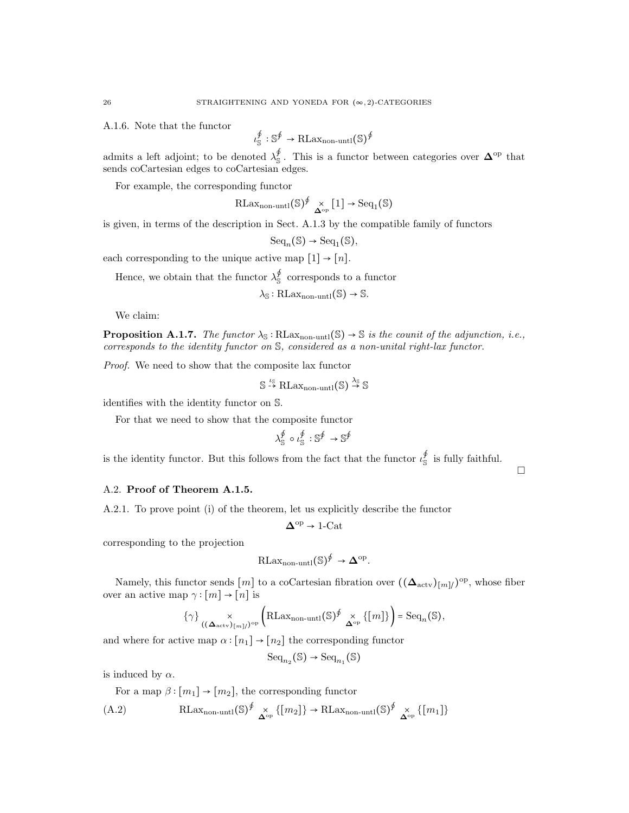A.1.6. Note that the functor

$$
\iota_{\mathbb{S}}^{\oint} : \mathbb{S}^{\oint} \to \text{RLax}_{\text{non-unit}}(\mathbb{S})^{\oint}
$$

admits a left adjoint; to be denoted  $\lambda_{\mathbb{S}}^{\phi}$ . This is a functor between categories over  $\mathbf{\Delta}^{\text{op}}$  that sends coCartesian edges to coCartesian edges.

For example, the corresponding functor

$$
\mathrm{RLax}_{\mathrm{non-untl}}(\mathbb{S})^{\oint} \underset{\mathbf{\Delta}^{\mathrm{op}}}{\times} [1] \to \mathrm{Seq}_1(\mathbb{S})
$$

is given, in terms of the description in Sect. A.1.3 by the compatible family of functors

$$
\mathrm{Seq}_n(\mathbb{S}) \to \mathrm{Seq}_1(\mathbb{S}),
$$

each corresponding to the unique active map  $[1] \rightarrow [n]$ .

Hence, we obtain that the functor  $\lambda_{\mathbb{S}}^{\oint}$  corresponds to a functor

$$
\lambda_{\mathbb{S}}:\mathrm{RLax}_{\mathrm{non-untl}}(\mathbb{S})\to \mathbb{S}.
$$

We claim:

**Proposition A.1.7.** The functor  $\lambda_{\mathbb{S}}$ : RLax<sub>non-untl</sub>( $\mathbb{S}$ )  $\rightarrow$   $\mathbb{S}$  is the counit of the adjunction, i.e., corresponds to the identity functor on S, considered as a non-unital right-lax functor.

Proof. We need to show that the composite lax functor

$$
\mathbb{S} \stackrel{\iota_{\mathbb{S}}}{\rightarrow} \text{RLax}_{\text{non-untl}}(\mathbb{S}) \stackrel{\lambda_{\mathbb{S}}}{\rightarrow} \mathbb{S}
$$

identifies with the identity functor on S.

For that we need to show that the composite functor

$$
\lambda_{\mathbb{S}}^{\oint} \circ \iota_{\mathbb{S}}^{\oint} : \mathbb{S}^{\oint} \to \mathbb{S}^{\oint}
$$

is the identity functor. But this follows from the fact that the functor  $\iota_{\mathbb{S}}^{\phi}$  is fully faithful.

 $\Box$ 

## A.2. Proof of Theorem A.1.5.

A.2.1. To prove point (i) of the theorem, let us explicitly describe the functor

$$
\Delta^{\rm op}\to{\rm 1\text{-}Cat}
$$

corresponding to the projection

$$
\mathrm{RLax}_{\mathrm{non-untl}}(\mathbb{S})^{\oint} \to \mathbf{\Delta}^{\mathrm{op}}.
$$

Namely, this functor sends  $[m]$  to a coCartesian fibration over  $((\Delta_{\text{actv}})_{[m]})^{\text{op}}$ , whose fiber over an active map  $\gamma : [m] \to [n]$  is

$$
\{\gamma\} \underset{\left((\Delta_{\text{actv}})_{[m]}\right)^{\text{op}}} \times \left(\text{RLax}_{\text{non-unit}}(\mathbb{S})^{\oint} \underset{\Delta^{\text{op}}}{\times} \{[m]\}\right) = \text{Seq}_n(\mathbb{S}),
$$

and where for active map  $\alpha : [n_1] \rightarrow [n_2]$  the corresponding functor

 $Seq_{n_2}(\mathbb{S}) \rightarrow Seq_{n_1}(\mathbb{S})$ 

is induced by  $\alpha$ .

For a map  $\beta : [m_1] \rightarrow [m_2]$ , the corresponding functor

$$
(A.2) \qquad \qquad \text{RLax}_{\text{non-untl}}(\mathbb{S})^{\oint} \underset{\Delta^{\text{op}}}{\times} \{ [m_2] \} \to \text{RLax}_{\text{non-untl}}(\mathbb{S})^{\oint} \underset{\Delta^{\text{op}}}{\times} \{ [m_1] \}
$$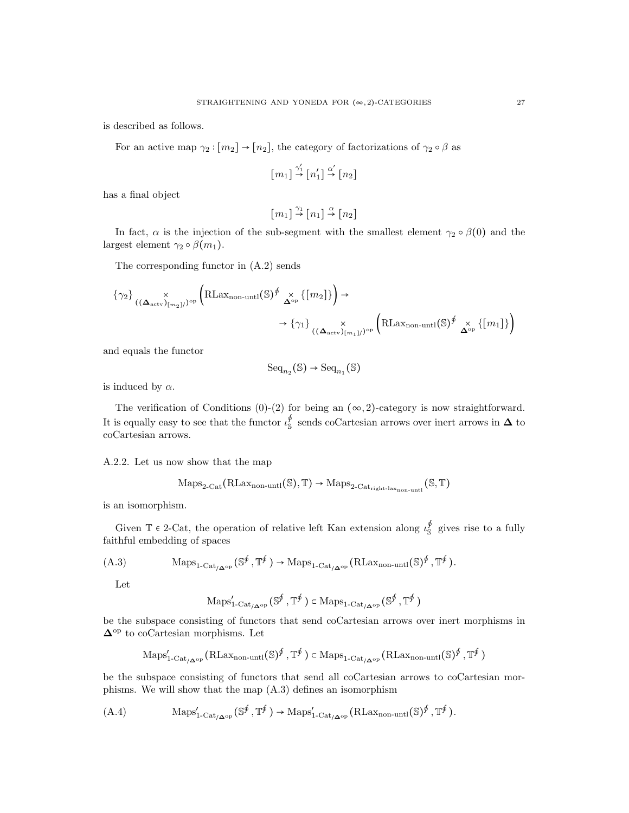is described as follows.

For an active map  $\gamma_2 : [m_2] \to [n_2]$ , the category of factorizations of  $\gamma_2 \circ \beta$  as

$$
[m_1] \stackrel{\gamma_1'}{\rightarrow} [n_1'] \stackrel{\alpha'}{\rightarrow} [n_2]
$$

has a final object

$$
\left[\begin{smallmatrix}m_1\end{smallmatrix}\right]\overset{\gamma_1}{\rightarrow}\left[\begin{smallmatrix}n_1\end{smallmatrix}\right]\overset{\alpha}{\rightarrow}\left[\begin{smallmatrix}n_2\end{smallmatrix}\right]
$$

In fact,  $\alpha$  is the injection of the sub-segment with the smallest element  $\gamma_2 \circ \beta(0)$  and the largest element  $\gamma_2 \circ \beta(m_1)$ .

The corresponding functor in (A.2) sends

$$
\{\gamma_2\} \underset{((\Delta_{\text{actv}})_{[m_2]})^{\text{op}}} \times \left(R\text{Lax}_{\text{non-unit}}(\mathbb{S})^{\oint} \underset{\Delta^{\text{op}}}{\times} \{[m_2]\}\right) \to \longrightarrow \{\gamma_1\} \underset{((\Delta_{\text{actv}})_{[m_1]})^{\text{op}}} \times \left(R\text{Lax}_{\text{non-unit}}(\mathbb{S})^{\oint} \underset{\Delta^{\text{op}}}{\times} \{[m_1]\}\right)
$$

and equals the functor

$$
\mathrm{Seq}_{n_2}(\mathbb{S}) \to \mathrm{Seq}_{n_1}(\mathbb{S})
$$

is induced by  $\alpha$ .

The verification of Conditions  $(0)-(2)$  for being an  $(\infty, 2)$ -category is now straightforward. It is equally easy to see that the functor  $\iota_S^{\$}$  sends coCartesian arrows over inert arrows in  $\Delta$  to coCartesian arrows.

A.2.2. Let us now show that the map

$$
\mathrm{Maps}_{2\text{-}\mathrm{Cat}}(\mathrm{RLax}_{\mathrm{non-untl}}(\mathbb{S}), \mathbb{T}) \rightarrow \mathrm{Maps}_{2\text{-}\mathrm{Cat}_{\mathrm{right\text{-}lax}_{\mathrm{non-untl}}}}(\mathbb{S}, \mathbb{T})
$$

is an isomorphism.

Given  $\mathbb{T} \in 2$ -Cat, the operation of relative left Kan extension along  $\iota_{\mathbb{S}}^{\phi}$  gives rise to a fully faithful embedding of spaces

(A.3) 
$$
\operatorname{Maps}_{1\text{-}\mathrm{Cat}_{/\mathbf{\Delta}^{\mathrm{op}}}}(\mathbb{S}^{\oint}, \mathbb{T}^{\oint}) \to \operatorname{Maps}_{1\text{-}\mathrm{Cat}_{/\mathbf{\Delta}^{\mathrm{op}}}}(\mathrm{RLax}_{\mathrm{non-unit}}(\mathbb{S})^{\oint}, \mathbb{T}^{\oint}).
$$

Let

$$
\mathrm{Maps}_{1\text{-}\mathrm{Cat}_{/\mathbf{\Delta}^\mathrm{op}}}^{\prime}(\mathbb{S}^{\oint},\mathbb{T}^{\oint}) \subset \mathrm{Maps}_{1\text{-}\mathrm{Cat}_{/\mathbf{\Delta}^\mathrm{op}}}(\mathbb{S}^{\oint},\mathbb{T}^{\oint})
$$

be the subspace consisting of functors that send coCartesian arrows over inert morphisms in  $\Delta^{\rm op}$  to coCartesian morphisms. Let

$$
\mathrm{Maps}_{1\text{-}\mathrm{Cat}_{/\mathbf{\Delta}^{\mathrm{op}}}}'(\mathrm{RLax}_{\mathrm{non-unt1}}(\mathbb{S})^{\oint}, \mathbb{T}^{\oint}) \subset \mathrm{Maps}_{1\text{-}\mathrm{Cat}_{/\mathbf{\Delta}^{\mathrm{op}}}}(\mathrm{RLax}_{\mathrm{non-unt1}}(\mathbb{S})^{\oint}, \mathbb{T}^{\oint})
$$

be the subspace consisting of functors that send all coCartesian arrows to coCartesian morphisms. We will show that the map (A.3) defines an isomorphism

$$
(A.4) \qquad \qquad \operatorname{Maps}_{1-\operatorname{Cat}_{/\mathbf{\Delta}^{\operatorname{op}}}}^{'}(\mathbb{S}^{\oint}, \mathbb{T}^{\oint}) \to \operatorname{Maps}_{1-\operatorname{Cat}_{/\mathbf{\Delta}^{\operatorname{op}}}}^{'}(\operatorname{RLax}_{\text{non-unit}}(\mathbb{S})^{\oint}, \mathbb{T}^{\oint}).
$$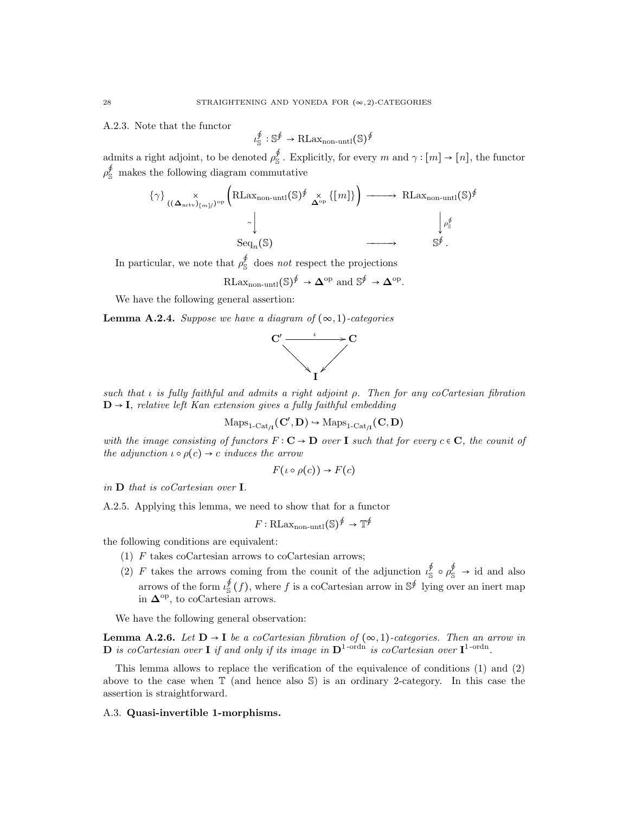A.2.3. Note that the functor

$$
\iota_{\mathbb{S}}^{\not\!{\theta}}: \mathbb{S}^{\not\!{\theta}} \rightarrow \textup{RLax}_{\textup{non-unit}}(\mathbb{S})^{\not\!{\theta}}
$$

admits a right adjoint, to be denoted  $\rho_{\mathbb{S}}^{\phi}$ . Explicitly, for every m and  $\gamma : [m] \to [n]$ , the functor  $\rho_{\rm S}^{\oint}$  makes the following diagram commutative

$$
\{\gamma\} \underset{\text{(}\Delta_{\text{actv}})_{[m]/\text{OP}}}{\times} \left( \text{RLax}_{\text{non-unit}}(\mathbb{S})^{\oint} \underset{\Delta^{\text{op}}}{\times} \{ [m] \} \right) \longrightarrow \text{RLax}_{\text{non-unit}}(\mathbb{S})^{\oint}
$$

$$
\longrightarrow \underset{\text{Seq}_n(\mathbb{S})}{\longrightarrow} \underset{\text{S}^{\oint}}{\longrightarrow} \underset{\text{S}^{\oint}}{\longrightarrow}
$$

In particular, we note that  $\rho_{\mathbb{S}}^{\phi}$  does not respect the projections

$$
\text{RLax}_{\text{non-untl}}(\mathbb{S})^{\oint} \to \mathbf{\Delta}^{\text{op}} \text{ and } \mathbb{S}^{\oint} \to \mathbf{\Delta}^{\text{op}}.
$$

We have the following general assertion:

**Lemma A.2.4.** Suppose we have a diagram of  $(\infty, 1)$ -categories



such that  $\iota$  is fully faithful and admits a right adjoint  $\rho$ . Then for any coCartesian fibration  $D \rightarrow I$ , relative left Kan extension gives a fully faithful embedding

$$
\mathrm{Maps}_{1\text{-}\mathrm{Cat}_{/I}}(C',D)\hookrightarrow \mathrm{Maps}_{1\text{-}\mathrm{Cat}_{/I}}(C,D)
$$

with the image consisting of functors  $F: \mathbf{C} \to \mathbf{D}$  over I such that for every  $c \in \mathbf{C}$ , the counit of the adjunction  $\iota \circ \rho(c) \to c$  induces the arrow

$$
F(\iota \circ \rho(c)) \to F(c)
$$

in D that is coCartesian over I.

A.2.5. Applying this lemma, we need to show that for a functor

$$
F: \text{RLax}_{\text{non-untl}}(\mathbb{S})^{\oint} \to \mathbb{T}^{\oint}
$$

the following conditions are equivalent:

- (1)  $F$  takes coCartesian arrows to coCartesian arrows;
- (2) F takes the arrows coming from the counit of the adjunction  $\iota_{\mathbb{S}}^{\mathcal{P}} \circ \rho_{\mathbb{S}}^{\mathcal{P}} \to$  id and also arrows of the form  $\iota_{\mathbb{S}}^{\phi}(f)$ , where f is a coCartesian arrow in  $\mathbb{S}^{\phi}$  lying over an inert map in  $\mathbf{\Delta}^{\mathrm{op}}$ , to coCartesian arrows.

We have the following general observation:

**Lemma A.2.6.** Let  $D \to I$  be a coCartesian fibration of  $(\infty, 1)$ -categories. Then an arrow in **D** is coCartesian over **I** if and only if its image in  $D^{1-{\rm ord}n}$  is coCartesian over  $I^{1-{\rm ord}n}$ .

This lemma allows to replace the verification of the equivalence of conditions (1) and (2) above to the case when T (and hence also S) is an ordinary 2-category. In this case the assertion is straightforward.

## A.3. Quasi-invertible 1-morphisms.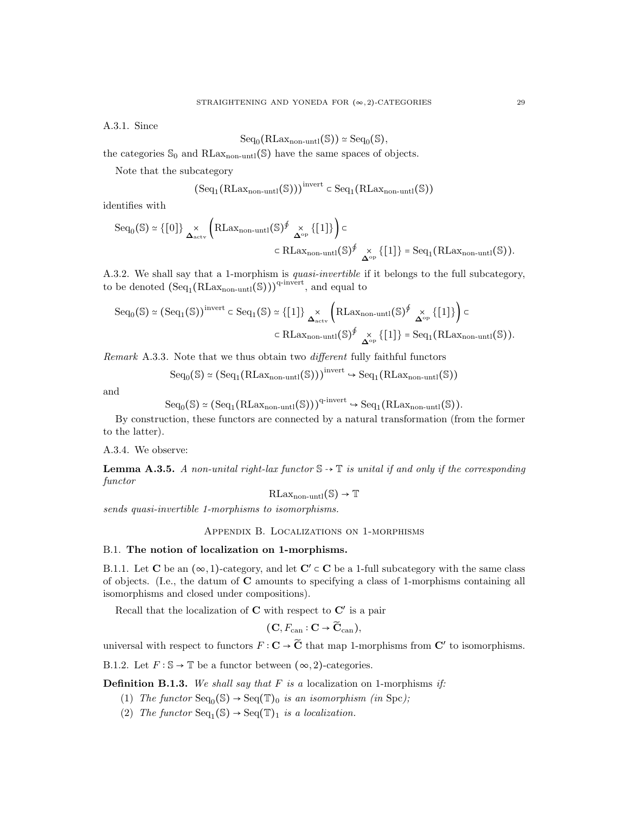A.3.1. Since

$$
\mathrm{Seq}_0(\mathrm{RLax}_{\mathrm{non-untl}}(\mathbb{S})) \simeq \mathrm{Seq}_0(\mathbb{S}),
$$

the categories  $\mathcal{S}_0$  and RLax<sub>non-untl</sub>(S) have the same spaces of objects.

Note that the subcategory

$$
\big(\mathrm{Seq}_1\big(\mathrm{RLax}_{\mathrm{non-unt1}}(\mathbb{S})\big)\big)^{\mathrm{invert}}\in\mathrm{Seq}_1\big(\mathrm{RLax}_{\mathrm{non-unt1}}(\mathbb{S})\big)
$$

identifies with

$$
\text{Seq}_0(\mathbb{S}) \simeq \{ [0] \} \underset{\Delta_{\text{actv}}}{\times} \left( \text{RLax}_{\text{non-unit}}(\mathbb{S})^{\oint} \underset{\Delta^{\text{op}}}{\times} \{ [1] \} \right) \subset
$$
  

$$
\subset \text{RLax}_{\text{non-unit}}(\mathbb{S})^{\oint} \underset{\Delta^{\text{op}}}{\times} \{ [1] \} = \text{Seq}_1(\text{RLax}_{\text{non-unit}}(\mathbb{S})).
$$

A.3.2. We shall say that a 1-morphism is quasi-invertible if it belongs to the full subcategory, to be denoted  $(\text{Seq}_1(\text{RLax}_{\text{non-unit}}(\mathbb{S})))^{q\text{-invert}}$ , and equal to

$$
\begin{split} \mathrm{Seq}_0(\mathbb{S}) &\simeq \big(\mathrm{Seq}_1(\mathbb{S})\big)^{\mathrm{invert}} \subset \mathrm{Seq}_1(\mathbb{S}) \simeq \big\{ [1] \big\} \underset{\Delta_{\mathrm{actv}}}{\times} \left(\mathrm{RLax}_{\mathrm{non-unit}}(\mathbb{S})^{\oint} \underset{\Delta^{\mathrm{op}}}{\times} \big\{ [1] \big\} \right) \subset \\ &\subset \mathrm{RLax}_{\mathrm{non-unit}}(\mathbb{S})^{\oint} \underset{\Delta^{\mathrm{op}}}{\times} \big\{ [1] \big\} = \mathrm{Seq}_1\big(\mathrm{RLax}_{\mathrm{non-unit}}(\mathbb{S})\big). \end{split}
$$

Remark A.3.3. Note that we thus obtain two different fully faithful functors

$$
Seq_0(\mathbb{S}) \simeq (Seq_1(RLax_{non-unt1}(\mathbb{S})))^{invert} \hookrightarrow Seq_1(RLax_{non-unt1}(\mathbb{S}))
$$

and

$$
\mathrm{Seq}_0(\mathbb{S}) \simeq (\mathrm{Seq}_1(\mathrm{RLax}_{\mathrm{non-unt1}}(\mathbb{S})))^{q\text{-invert}} \hookrightarrow \mathrm{Seq}_1(\mathrm{RLax}_{\mathrm{non-unt1}}(\mathbb{S})).
$$

By construction, these functors are connected by a natural transformation (from the former to the latter).

A.3.4. We observe:

**Lemma A.3.5.** A non-unital right-lax functor  $\mathbb{S} \rightarrow \mathbb{T}$  is unital if and only if the corresponding functor

 $RLax_{non-untl}(\mathbb{S}) \rightarrow \mathbb{T}$ 

sends quasi-invertible 1-morphisms to isomorphisms.

Appendix B. Localizations on 1-morphisms

## B.1. The notion of localization on 1-morphisms.

B.1.1. Let C be an  $(\infty, 1)$ -category, and let C'  $\subset$  C be a 1-full subcategory with the same class of objects. (I.e., the datum of C amounts to specifying a class of 1-morphisms containing all isomorphisms and closed under compositions).

Recall that the localization of  $C$  with respect to  $C'$  is a pair

$$
(\mathbf{C}, F_{\operatorname{can}} : \mathbf{C} \to \widetilde{\mathbf{C}}_{\operatorname{can}}),
$$

universal with respect to functors  $F: \mathbf{C} \to \widetilde{\mathbf{C}}$  that map 1-morphisms from  $\mathbf{C}'$  to isomorphisms.

B.1.2. Let  $F : \mathbb{S} \to \mathbb{T}$  be a functor between  $(\infty, 2)$ -categories.

**Definition B.1.3.** We shall say that F is a localization on 1-morphisms if:

- (1) The functor  $Seq_0(\mathbb{S}) \to Seq(\mathbb{T})_0$  is an isomorphism (in Spc);
- (2) The functor  $Seq_1(S) \rightarrow Seq(\mathbb{T})_1$  is a localization.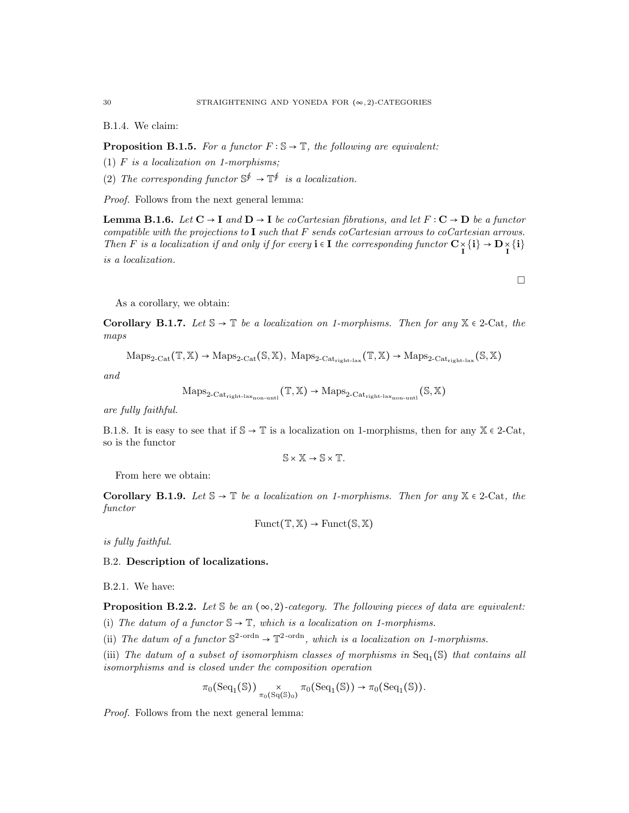B.1.4. We claim:

**Proposition B.1.5.** For a functor  $F : \mathbb{S} \to \mathbb{T}$ , the following are equivalent:

- (1)  $F$  is a localization on 1-morphisms;
- (2) The corresponding functor  $\mathbb{S}^{\oint} \to \mathbb{T}^{\oint}$  is a localization.

Proof. Follows from the next general lemma:

**Lemma B.1.6.** Let  $C \to I$  and  $D \to I$  be coCartesian fibrations, and let  $F: C \to D$  be a functor compatible with the projections to  $I$  such that F sends coCartesian arrows to coCartesian arrows. Then F is a localization if and only if for every  $\mathbf{i} \in \mathbf{I}$  the corresponding functor  $\mathbf{C} \times \{\mathbf{i}\} \to \mathbf{D} \times \{\mathbf{i}\}$ is a localization.

As a corollary, we obtain:

Corollary B.1.7. Let  $\mathbb{S} \to \mathbb{T}$  be a localization on 1-morphisms. Then for any  $\mathbb{X} \in 2$ -Cat, the maps

$$
\mathrm{Maps}_{2\text{-}\mathrm{Cat}}(\mathbb{T}, \mathbb{X}) \rightarrow \mathrm{Maps}_{2\text{-}\mathrm{Cat}}(\mathbb{S}, \mathbb{X}), \ \mathrm{Maps}_{2\text{-}\mathrm{Cat}_{\mathrm{right\text{-}lax}}}(\mathbb{T}, \mathbb{X}) \rightarrow \mathrm{Maps}_{2\text{-}\mathrm{Cat}_{\mathrm{right\text{-}lax}}}(\mathbb{S}, \mathbb{X})
$$

and

$$
\mathrm{Maps}_{2\text{-}\mathrm{Cat}_{\mathrm{right\text{-}lax}_{\mathrm{non\text{-}unt}}}}(\mathbb{T},\mathbb{X})\to\mathrm{Maps}_{2\text{-}\mathrm{Cat}_{\mathrm{right\text{-}lax}_{\mathrm{non\text{-}unt}}}}(\mathbb{S},\mathbb{X})
$$

are fully faithful.

B.1.8. It is easy to see that if  $\mathbb{S} \to \mathbb{T}$  is a localization on 1-morphisms, then for any  $\mathbb{X} \in 2$ -Cat, so is the functor

$$
\mathbb{S} \times \mathbb{X} \to \mathbb{S} \times \mathbb{T}.
$$

From here we obtain:

Corollary B.1.9. Let  $\mathbb{S} \to \mathbb{T}$  be a localization on 1-morphisms. Then for any  $\mathbb{X} \in 2$ -Cat, the functor

$$
\text{Funct}(\mathbb{T}, \mathbb{X}) \to \text{Funct}(\mathbb{S}, \mathbb{X})
$$

is fully faithful.

## B.2. Description of localizations.

B.2.1. We have:

**Proposition B.2.2.** Let  $\mathcal{S}$  be an  $(\infty, 2)$ -category. The following pieces of data are equivalent:

(i) The datum of a functor  $\mathbb{S} \to \mathbb{T}$ , which is a localization on 1-morphisms.

(ii) The datum of a functor  $\mathbb{S}^{2\text{-ordn}} \to \mathbb{T}^{2\text{-ordn}}$ , which is a localization on 1-morphisms.

(iii) The datum of a subset of isomorphism classes of morphisms in  $Seq_1(S)$  that contains all isomorphisms and is closed under the composition operation

$$
\pi_0({\rm Seq}_1(\mathbb{S})) \underset{\pi_0({\rm Sq}(\mathbb{S}_0)}{\times} \pi_0({\rm Seq}_1(\mathbb{S})) \to \pi_0({\rm Seq}_1(\mathbb{S})).
$$

Proof. Follows from the next general lemma:

 $\Box$